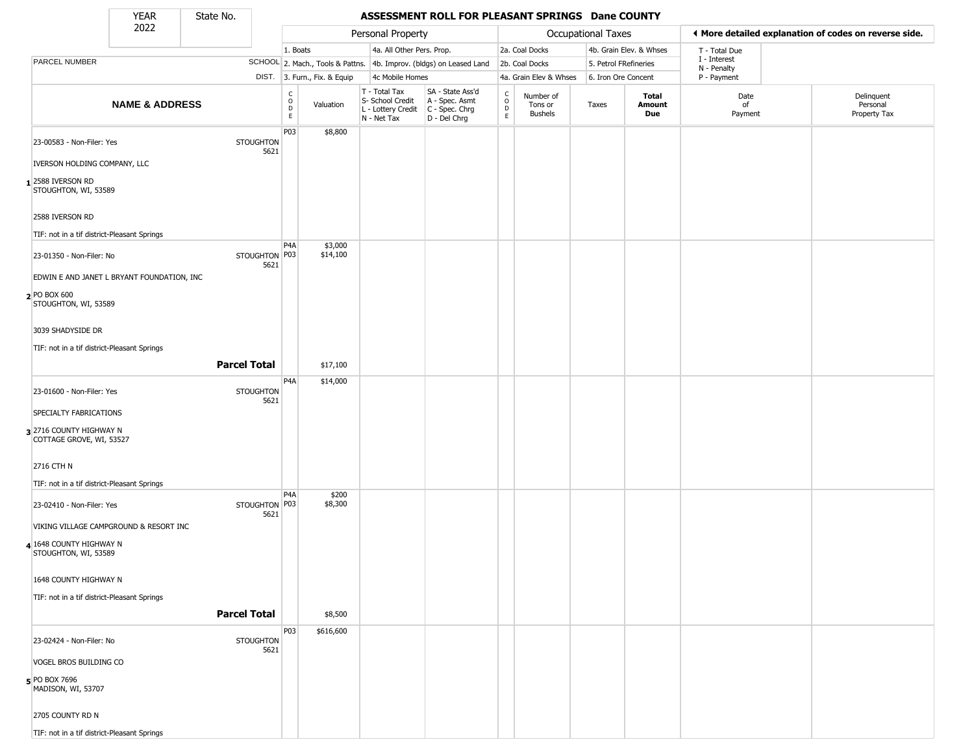State No.

Г

#### YEAR **ASSESSMENT ROLL FOR PLEASANT SPRINGS Dane COUNTY**

|                                                     | 2022                      |                          |                  |                              | Personal Property                                                      |                                                                      |                                                |                                        | Occupational Taxes    |                         |                             | ◀ More detailed explanation of codes on reverse side. |
|-----------------------------------------------------|---------------------------|--------------------------|------------------|------------------------------|------------------------------------------------------------------------|----------------------------------------------------------------------|------------------------------------------------|----------------------------------------|-----------------------|-------------------------|-----------------------------|-------------------------------------------------------|
|                                                     |                           |                          | 1. Boats         |                              | 4a. All Other Pers. Prop.                                              |                                                                      |                                                | 2a. Coal Docks                         |                       | 4b. Grain Elev. & Whses | T - Total Due               |                                                       |
| PARCEL NUMBER                                       |                           |                          |                  |                              |                                                                        | SCHOOL 2. Mach., Tools & Pattns. 4b. Improv. (bldgs) on Leased Land  |                                                | 2b. Coal Docks                         | 5. Petrol FRefineries |                         | I - Interest<br>N - Penalty |                                                       |
|                                                     |                           |                          |                  | DIST. 3. Furn., Fix. & Equip | 4c Mobile Homes                                                        |                                                                      |                                                | 4a. Grain Elev & Whses                 | 6. Iron Ore Concent   |                         | P - Payment                 |                                                       |
|                                                     | <b>NAME &amp; ADDRESS</b> |                          | C<br>D<br>D<br>E | Valuation                    | T - Total Tax<br>S- School Credit<br>L - Lottery Credit<br>N - Net Tax | SA - State Ass'd<br>A - Spec. Asmt<br>C - Spec. Chrg<br>D - Del Chrg | $\begin{matrix} 0 \\ 0 \\ D \end{matrix}$<br>E | Number of<br>Tons or<br><b>Bushels</b> | Taxes                 | Total<br>Amount<br>Due  | Date<br>of<br>Payment       | Delinquent<br>Personal<br>Property Tax                |
| 23-00583 - Non-Filer: Yes                           |                           | <b>STOUGHTON</b><br>5621 | P03              | \$8,800                      |                                                                        |                                                                      |                                                |                                        |                       |                         |                             |                                                       |
| IVERSON HOLDING COMPANY, LLC                        |                           |                          |                  |                              |                                                                        |                                                                      |                                                |                                        |                       |                         |                             |                                                       |
| 2588 IVERSON RD<br>STOUGHTON, WI, 53589             |                           |                          |                  |                              |                                                                        |                                                                      |                                                |                                        |                       |                         |                             |                                                       |
| 2588 IVERSON RD                                     |                           |                          |                  |                              |                                                                        |                                                                      |                                                |                                        |                       |                         |                             |                                                       |
| TIF: not in a tif district-Pleasant Springs         |                           |                          |                  |                              |                                                                        |                                                                      |                                                |                                        |                       |                         |                             |                                                       |
| 23-01350 - Non-Filer: No                            |                           | STOUGHTON P03<br>5621    | P4A              | \$3,000<br>\$14,100          |                                                                        |                                                                      |                                                |                                        |                       |                         |                             |                                                       |
| EDWIN E AND JANET L BRYANT FOUNDATION, INC          |                           |                          |                  |                              |                                                                        |                                                                      |                                                |                                        |                       |                         |                             |                                                       |
| 2 PO BOX 600<br>STOUGHTON, WI, 53589                |                           |                          |                  |                              |                                                                        |                                                                      |                                                |                                        |                       |                         |                             |                                                       |
| 3039 SHADYSIDE DR                                   |                           |                          |                  |                              |                                                                        |                                                                      |                                                |                                        |                       |                         |                             |                                                       |
| TIF: not in a tif district-Pleasant Springs         |                           |                          |                  |                              |                                                                        |                                                                      |                                                |                                        |                       |                         |                             |                                                       |
|                                                     |                           | <b>Parcel Total</b>      |                  | \$17,100                     |                                                                        |                                                                      |                                                |                                        |                       |                         |                             |                                                       |
| 23-01600 - Non-Filer: Yes                           |                           | <b>STOUGHTON</b><br>5621 | P4A              | \$14,000                     |                                                                        |                                                                      |                                                |                                        |                       |                         |                             |                                                       |
| SPECIALTY FABRICATIONS                              |                           |                          |                  |                              |                                                                        |                                                                      |                                                |                                        |                       |                         |                             |                                                       |
| 3 2716 COUNTY HIGHWAY N<br>COTTAGE GROVE, WI, 53527 |                           |                          |                  |                              |                                                                        |                                                                      |                                                |                                        |                       |                         |                             |                                                       |
| 2716 CTH N                                          |                           |                          |                  |                              |                                                                        |                                                                      |                                                |                                        |                       |                         |                             |                                                       |
| TIF: not in a tif district-Pleasant Springs         |                           |                          |                  |                              |                                                                        |                                                                      |                                                |                                        |                       |                         |                             |                                                       |
| 23-02410 - Non-Filer: Yes                           |                           | STOUGHTON P03<br>5621    | P4A              | \$200<br>\$8,300             |                                                                        |                                                                      |                                                |                                        |                       |                         |                             |                                                       |
| VIKING VILLAGE CAMPGROUND & RESORT INC              |                           |                          |                  |                              |                                                                        |                                                                      |                                                |                                        |                       |                         |                             |                                                       |
| 4 1648 COUNTY HIGHWAY N<br>STOUGHTON, WI, 53589     |                           |                          |                  |                              |                                                                        |                                                                      |                                                |                                        |                       |                         |                             |                                                       |
| 1648 COUNTY HIGHWAY N                               |                           |                          |                  |                              |                                                                        |                                                                      |                                                |                                        |                       |                         |                             |                                                       |
| TIF: not in a tif district-Pleasant Springs         |                           |                          |                  |                              |                                                                        |                                                                      |                                                |                                        |                       |                         |                             |                                                       |
|                                                     |                           | <b>Parcel Total</b>      |                  | \$8,500                      |                                                                        |                                                                      |                                                |                                        |                       |                         |                             |                                                       |
| 23-02424 - Non-Filer: No                            |                           | <b>STOUGHTON</b><br>5621 | P <sub>0</sub> 3 | \$616,600                    |                                                                        |                                                                      |                                                |                                        |                       |                         |                             |                                                       |
| VOGEL BROS BUILDING CO                              |                           |                          |                  |                              |                                                                        |                                                                      |                                                |                                        |                       |                         |                             |                                                       |
| 5 PO BOX 7696<br>MADISON, WI, 53707                 |                           |                          |                  |                              |                                                                        |                                                                      |                                                |                                        |                       |                         |                             |                                                       |
| 2705 COUNTY RD N                                    |                           |                          |                  |                              |                                                                        |                                                                      |                                                |                                        |                       |                         |                             |                                                       |
| TIF: not in a tif district-Pleasant Springs         |                           |                          |                  |                              |                                                                        |                                                                      |                                                |                                        |                       |                         |                             |                                                       |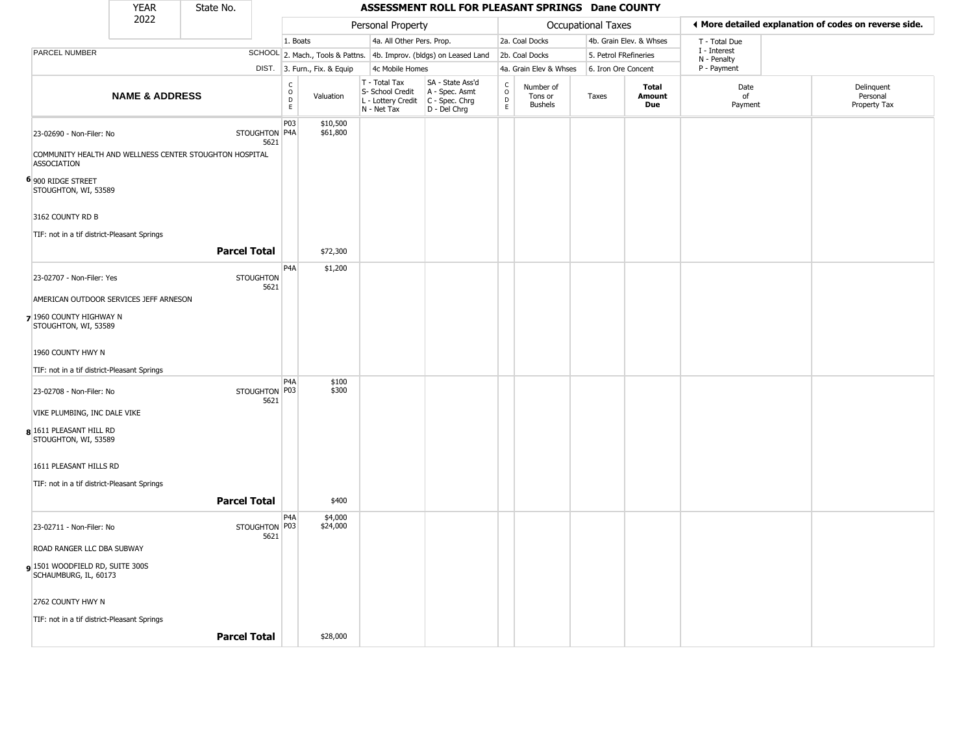|                                                          | <b>YEAR</b>               | State No.                                               |                          |                         |                              |                                                                                         | ASSESSMENT ROLL FOR PLEASANT SPRINGS Dane COUNTY                    |                                                                    |                                        |                    |                               |                             |                                                       |
|----------------------------------------------------------|---------------------------|---------------------------------------------------------|--------------------------|-------------------------|------------------------------|-----------------------------------------------------------------------------------------|---------------------------------------------------------------------|--------------------------------------------------------------------|----------------------------------------|--------------------|-------------------------------|-----------------------------|-------------------------------------------------------|
|                                                          | 2022                      |                                                         |                          |                         |                              | Personal Property                                                                       |                                                                     |                                                                    |                                        | Occupational Taxes |                               |                             | I More detailed explanation of codes on reverse side. |
|                                                          |                           |                                                         |                          | 1. Boats                |                              | 4a. All Other Pers. Prop.                                                               |                                                                     |                                                                    | 2a. Coal Docks                         |                    | 4b. Grain Elev. & Whses       | T - Total Due               |                                                       |
| <b>PARCEL NUMBER</b>                                     |                           |                                                         |                          |                         |                              |                                                                                         | SCHOOL 2. Mach., Tools & Pattns. 4b. Improv. (bldgs) on Leased Land |                                                                    | 2b. Coal Docks                         |                    | 5. Petrol FRefineries         | I - Interest<br>N - Penalty |                                                       |
|                                                          |                           |                                                         |                          |                         | DIST. 3. Furn., Fix. & Equip | 4c Mobile Homes                                                                         |                                                                     |                                                                    | 4a. Grain Elev & Whses                 |                    | 6. Iron Ore Concent           | P - Payment                 |                                                       |
|                                                          | <b>NAME &amp; ADDRESS</b> |                                                         |                          | C<br>$\circ$<br>D<br>E. | Valuation                    | T - Total Tax<br>S- School Credit<br>L - Lottery Credit   C - Spec. Chrg<br>N - Net Tax | SA - State Ass'd<br>A - Spec. Asmt<br>D - Del Chrg                  | $\begin{smallmatrix} C \\ O \\ D \end{smallmatrix}$<br>$\mathsf E$ | Number of<br>Tons or<br><b>Bushels</b> | Taxes              | Total<br><b>Amount</b><br>Due | Date<br>of<br>Payment       | Delinquent<br>Personal<br>Property Tax                |
| 23-02690 - Non-Filer: No                                 |                           |                                                         | STOUGHTON P4A<br>5621    | P03                     | \$10,500<br>\$61,800         |                                                                                         |                                                                     |                                                                    |                                        |                    |                               |                             |                                                       |
| <b>ASSOCIATION</b>                                       |                           | COMMUNITY HEALTH AND WELLNESS CENTER STOUGHTON HOSPITAL |                          |                         |                              |                                                                                         |                                                                     |                                                                    |                                        |                    |                               |                             |                                                       |
| 6 900 RIDGE STREET<br>STOUGHTON, WI, 53589               |                           |                                                         |                          |                         |                              |                                                                                         |                                                                     |                                                                    |                                        |                    |                               |                             |                                                       |
| 3162 COUNTY RD B                                         |                           |                                                         |                          |                         |                              |                                                                                         |                                                                     |                                                                    |                                        |                    |                               |                             |                                                       |
| TIF: not in a tif district-Pleasant Springs              |                           |                                                         |                          |                         |                              |                                                                                         |                                                                     |                                                                    |                                        |                    |                               |                             |                                                       |
|                                                          |                           | <b>Parcel Total</b>                                     |                          |                         | \$72,300                     |                                                                                         |                                                                     |                                                                    |                                        |                    |                               |                             |                                                       |
| 23-02707 - Non-Filer: Yes                                |                           |                                                         | <b>STOUGHTON</b><br>5621 | P4A                     | \$1,200                      |                                                                                         |                                                                     |                                                                    |                                        |                    |                               |                             |                                                       |
| AMERICAN OUTDOOR SERVICES JEFF ARNESON                   |                           |                                                         |                          |                         |                              |                                                                                         |                                                                     |                                                                    |                                        |                    |                               |                             |                                                       |
| 7 1960 COUNTY HIGHWAY N<br>STOUGHTON, WI, 53589          |                           |                                                         |                          |                         |                              |                                                                                         |                                                                     |                                                                    |                                        |                    |                               |                             |                                                       |
| 1960 COUNTY HWY N                                        |                           |                                                         |                          |                         |                              |                                                                                         |                                                                     |                                                                    |                                        |                    |                               |                             |                                                       |
| TIF: not in a tif district-Pleasant Springs              |                           |                                                         |                          |                         |                              |                                                                                         |                                                                     |                                                                    |                                        |                    |                               |                             |                                                       |
| 23-02708 - Non-Filer: No                                 |                           |                                                         | STOUGHTON P03<br>5621    | P <sub>4</sub> A        | \$100<br>\$300               |                                                                                         |                                                                     |                                                                    |                                        |                    |                               |                             |                                                       |
| VIKE PLUMBING, INC DALE VIKE                             |                           |                                                         |                          |                         |                              |                                                                                         |                                                                     |                                                                    |                                        |                    |                               |                             |                                                       |
| 8 1611 PLEASANT HILL RD<br>STOUGHTON, WI, 53589          |                           |                                                         |                          |                         |                              |                                                                                         |                                                                     |                                                                    |                                        |                    |                               |                             |                                                       |
| 1611 PLEASANT HILLS RD                                   |                           |                                                         |                          |                         |                              |                                                                                         |                                                                     |                                                                    |                                        |                    |                               |                             |                                                       |
| TIF: not in a tif district-Pleasant Springs              |                           |                                                         |                          |                         |                              |                                                                                         |                                                                     |                                                                    |                                        |                    |                               |                             |                                                       |
|                                                          |                           | <b>Parcel Total</b>                                     |                          |                         | \$400                        |                                                                                         |                                                                     |                                                                    |                                        |                    |                               |                             |                                                       |
| 23-02711 - Non-Filer: No                                 |                           |                                                         | STOUGHTON P03<br>5621    | P4A                     | \$4,000<br>\$24,000          |                                                                                         |                                                                     |                                                                    |                                        |                    |                               |                             |                                                       |
| ROAD RANGER LLC DBA SUBWAY                               |                           |                                                         |                          |                         |                              |                                                                                         |                                                                     |                                                                    |                                        |                    |                               |                             |                                                       |
| 9 1501 WOODFIELD RD, SUITE 300S<br>SCHAUMBURG, IL, 60173 |                           |                                                         |                          |                         |                              |                                                                                         |                                                                     |                                                                    |                                        |                    |                               |                             |                                                       |
| 2762 COUNTY HWY N                                        |                           |                                                         |                          |                         |                              |                                                                                         |                                                                     |                                                                    |                                        |                    |                               |                             |                                                       |
| TIF: not in a tif district-Pleasant Springs              |                           |                                                         |                          |                         |                              |                                                                                         |                                                                     |                                                                    |                                        |                    |                               |                             |                                                       |
|                                                          |                           | <b>Parcel Total</b>                                     |                          |                         | \$28,000                     |                                                                                         |                                                                     |                                                                    |                                        |                    |                               |                             |                                                       |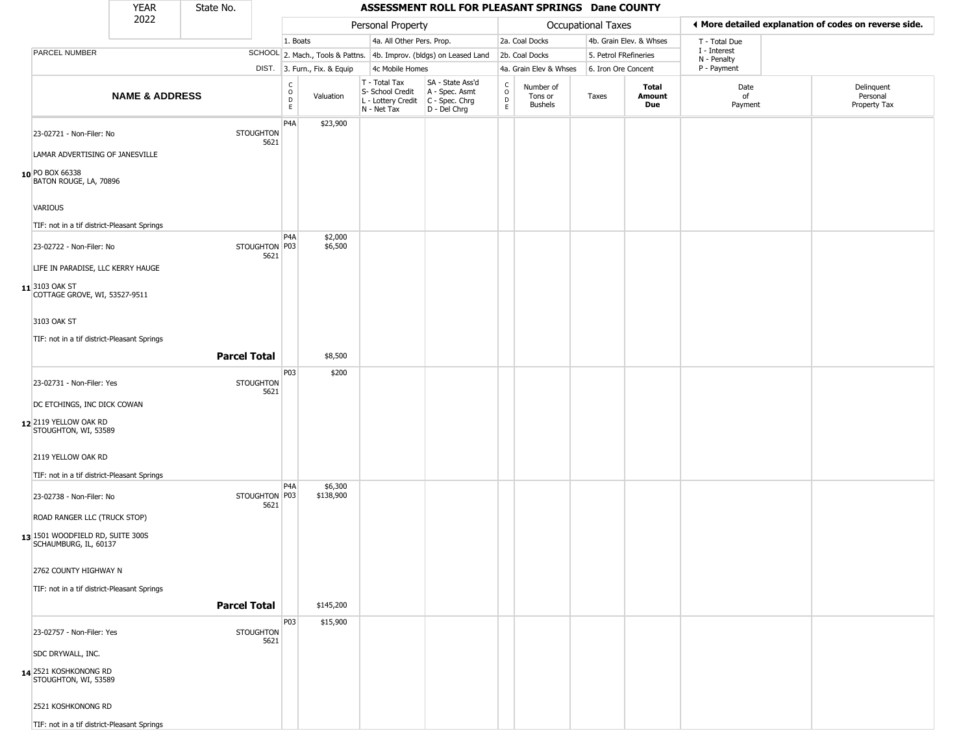|                                                             | <b>YEAR</b>               | State No.                |                                   |                              |                                                                                       | ASSESSMENT ROLL FOR PLEASANT SPRINGS Dane COUNTY                    |                        |                                        |                       |                         |                             |                                                       |
|-------------------------------------------------------------|---------------------------|--------------------------|-----------------------------------|------------------------------|---------------------------------------------------------------------------------------|---------------------------------------------------------------------|------------------------|----------------------------------------|-----------------------|-------------------------|-----------------------------|-------------------------------------------------------|
|                                                             | 2022                      |                          |                                   |                              | Personal Property                                                                     |                                                                     |                        |                                        | Occupational Taxes    |                         |                             | ♦ More detailed explanation of codes on reverse side. |
|                                                             |                           |                          | 1. Boats                          |                              | 4a. All Other Pers. Prop.                                                             |                                                                     |                        | 2a. Coal Docks                         |                       | 4b. Grain Elev. & Whses | T - Total Due               |                                                       |
| PARCEL NUMBER                                               |                           |                          |                                   |                              |                                                                                       | SCHOOL 2. Mach., Tools & Pattns. 4b. Improv. (bldgs) on Leased Land |                        | 2b. Coal Docks                         | 5. Petrol FRefineries |                         | I - Interest<br>N - Penalty |                                                       |
|                                                             |                           |                          |                                   | DIST. 3. Furn., Fix. & Equip | 4c Mobile Homes                                                                       |                                                                     |                        | 4a. Grain Elev & Whses                 | 6. Iron Ore Concent   |                         | P - Payment                 |                                                       |
|                                                             | <b>NAME &amp; ADDRESS</b> |                          | $\frac{c}{0}$<br>$\mathsf D$<br>E | Valuation                    | T - Total Tax<br>S- School Credit<br>L - Lottery Credit C - Spec. Chrg<br>N - Net Tax | SA - State Ass'd<br>A - Spec. Asmt<br>D - Del Chrg                  | C<br>$\circ$<br>D<br>E | Number of<br>Tons or<br><b>Bushels</b> | Taxes                 | Total<br>Amount<br>Due  | Date<br>of<br>Payment       | Delinguent<br>Personal<br>Property Tax                |
| 23-02721 - Non-Filer: No<br>LAMAR ADVERTISING OF JANESVILLE |                           | <b>STOUGHTON</b><br>5621 | P <sub>4</sub> A                  | \$23,900                     |                                                                                       |                                                                     |                        |                                        |                       |                         |                             |                                                       |
| 10 PO BOX 66338<br>BATON ROUGE, LA, 70896                   |                           |                          |                                   |                              |                                                                                       |                                                                     |                        |                                        |                       |                         |                             |                                                       |
| VARIOUS                                                     |                           |                          |                                   |                              |                                                                                       |                                                                     |                        |                                        |                       |                         |                             |                                                       |
| TIF: not in a tif district-Pleasant Springs                 |                           |                          | P <sub>4</sub> A                  |                              |                                                                                       |                                                                     |                        |                                        |                       |                         |                             |                                                       |
| 23-02722 - Non-Filer: No                                    |                           | STOUGHTON P03<br>5621    |                                   | \$2,000<br>\$6,500           |                                                                                       |                                                                     |                        |                                        |                       |                         |                             |                                                       |
| LIFE IN PARADISE, LLC KERRY HAUGE                           |                           |                          |                                   |                              |                                                                                       |                                                                     |                        |                                        |                       |                         |                             |                                                       |
| 11 3103 OAK ST<br>COTTAGE GROVE, WI, 53527-9511             |                           |                          |                                   |                              |                                                                                       |                                                                     |                        |                                        |                       |                         |                             |                                                       |
| 3103 OAK ST                                                 |                           |                          |                                   |                              |                                                                                       |                                                                     |                        |                                        |                       |                         |                             |                                                       |
| TIF: not in a tif district-Pleasant Springs                 |                           | <b>Parcel Total</b>      |                                   | \$8,500                      |                                                                                       |                                                                     |                        |                                        |                       |                         |                             |                                                       |
| 23-02731 - Non-Filer: Yes                                   |                           | <b>STOUGHTON</b>         | P03                               | \$200                        |                                                                                       |                                                                     |                        |                                        |                       |                         |                             |                                                       |
|                                                             |                           | 5621                     |                                   |                              |                                                                                       |                                                                     |                        |                                        |                       |                         |                             |                                                       |
| DC ETCHINGS, INC DICK COWAN                                 |                           |                          |                                   |                              |                                                                                       |                                                                     |                        |                                        |                       |                         |                             |                                                       |
| 12 2119 YELLOW OAK RD<br>STOUGHTON, WI, 53589               |                           |                          |                                   |                              |                                                                                       |                                                                     |                        |                                        |                       |                         |                             |                                                       |
| 2119 YELLOW OAK RD                                          |                           |                          |                                   |                              |                                                                                       |                                                                     |                        |                                        |                       |                         |                             |                                                       |
| TIF: not in a tif district-Pleasant Springs                 |                           |                          | P <sub>4</sub> A                  | \$6,300                      |                                                                                       |                                                                     |                        |                                        |                       |                         |                             |                                                       |
| 23-02738 - Non-Filer: No                                    |                           | STOUGHTON P03<br>5621    |                                   | \$138,900                    |                                                                                       |                                                                     |                        |                                        |                       |                         |                             |                                                       |
| ROAD RANGER LLC (TRUCK STOP)                                |                           |                          |                                   |                              |                                                                                       |                                                                     |                        |                                        |                       |                         |                             |                                                       |
| 13 1501 WOODFIELD RD, SUITE 300S<br>SCHAUMBURG, IL, 60137   |                           |                          |                                   |                              |                                                                                       |                                                                     |                        |                                        |                       |                         |                             |                                                       |
| 2762 COUNTY HIGHWAY N                                       |                           |                          |                                   |                              |                                                                                       |                                                                     |                        |                                        |                       |                         |                             |                                                       |
| TIF: not in a tif district-Pleasant Springs                 |                           | <b>Parcel Total</b>      |                                   | \$145,200                    |                                                                                       |                                                                     |                        |                                        |                       |                         |                             |                                                       |
|                                                             |                           |                          | P03                               | \$15,900                     |                                                                                       |                                                                     |                        |                                        |                       |                         |                             |                                                       |
| 23-02757 - Non-Filer: Yes<br>SDC DRYWALL, INC.              |                           | <b>STOUGHTON</b><br>5621 |                                   |                              |                                                                                       |                                                                     |                        |                                        |                       |                         |                             |                                                       |
|                                                             |                           |                          |                                   |                              |                                                                                       |                                                                     |                        |                                        |                       |                         |                             |                                                       |
| 14 2521 KOSHKONONG RD<br>STOUGHTON, WI, 53589               |                           |                          |                                   |                              |                                                                                       |                                                                     |                        |                                        |                       |                         |                             |                                                       |
| 2521 KOSHKONONG RD                                          |                           |                          |                                   |                              |                                                                                       |                                                                     |                        |                                        |                       |                         |                             |                                                       |
| TIF: not in a tif district-Pleasant Springs                 |                           |                          |                                   |                              |                                                                                       |                                                                     |                        |                                        |                       |                         |                             |                                                       |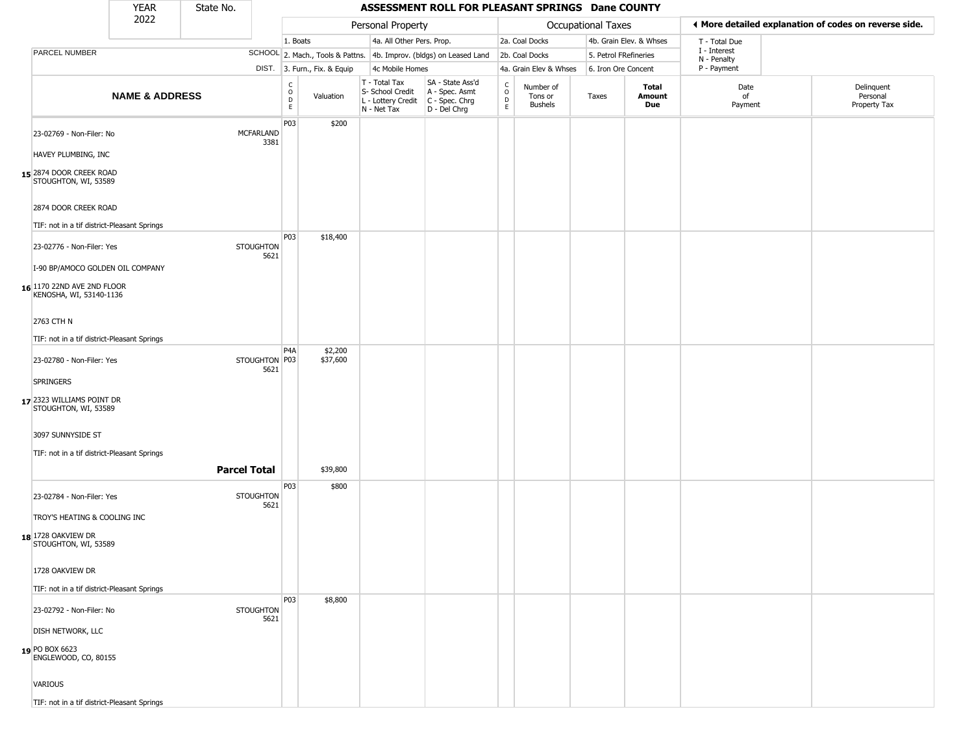|                                                       | <b>YEAR</b>               | State No.                |                                            |                              |                                                  | ASSESSMENT ROLL FOR PLEASANT SPRINGS Dane COUNTY                                          |                                    |                                        |                       |                         |                             |                                                       |
|-------------------------------------------------------|---------------------------|--------------------------|--------------------------------------------|------------------------------|--------------------------------------------------|-------------------------------------------------------------------------------------------|------------------------------------|----------------------------------------|-----------------------|-------------------------|-----------------------------|-------------------------------------------------------|
|                                                       | 2022                      |                          |                                            |                              | Personal Property                                |                                                                                           |                                    |                                        | Occupational Taxes    |                         |                             | ◀ More detailed explanation of codes on reverse side. |
|                                                       |                           |                          | 1. Boats                                   |                              | 4a. All Other Pers. Prop.                        |                                                                                           |                                    | 2a. Coal Docks                         |                       | 4b. Grain Elev. & Whses | T - Total Due               |                                                       |
| PARCEL NUMBER                                         |                           |                          |                                            |                              |                                                  | SCHOOL 2. Mach., Tools & Pattns. 4b. Improv. (bldgs) on Leased Land                       |                                    | 2b. Coal Docks                         | 5. Petrol FRefineries |                         | I - Interest<br>N - Penalty |                                                       |
|                                                       |                           |                          |                                            | DIST. 3. Furn., Fix. & Equip | 4c Mobile Homes                                  |                                                                                           |                                    | 4a. Grain Elev & Whses                 | 6. Iron Ore Concent   |                         | P - Payment                 |                                                       |
|                                                       | <b>NAME &amp; ADDRESS</b> |                          | $\frac{c}{0}$<br>$\mathsf{D}_{\mathsf{E}}$ | Valuation                    | T - Total Tax<br>S- School Credit<br>N - Net Tax | SA - State Ass'd<br>A - Spec. Asmt<br>L - Lottery Credit   C - Spec. Chrg<br>D - Del Chrg | $\frac{c}{0}$<br>$\mathsf{D}$<br>E | Number of<br>Tons or<br><b>Bushels</b> | Taxes                 | Total<br>Amount<br>Due  | Date<br>of<br>Payment       | Delinquent<br>Personal<br>Property Tax                |
| 23-02769 - Non-Filer: No                              |                           | <b>MCFARLAND</b><br>3381 | P03                                        | \$200                        |                                                  |                                                                                           |                                    |                                        |                       |                         |                             |                                                       |
| HAVEY PLUMBING, INC                                   |                           |                          |                                            |                              |                                                  |                                                                                           |                                    |                                        |                       |                         |                             |                                                       |
| 15 2874 DOOR CREEK ROAD<br>STOUGHTON, WI, 53589       |                           |                          |                                            |                              |                                                  |                                                                                           |                                    |                                        |                       |                         |                             |                                                       |
| 2874 DOOR CREEK ROAD                                  |                           |                          |                                            |                              |                                                  |                                                                                           |                                    |                                        |                       |                         |                             |                                                       |
| TIF: not in a tif district-Pleasant Springs           |                           |                          |                                            |                              |                                                  |                                                                                           |                                    |                                        |                       |                         |                             |                                                       |
| 23-02776 - Non-Filer: Yes                             |                           | <b>STOUGHTON</b><br>5621 | P03                                        | \$18,400                     |                                                  |                                                                                           |                                    |                                        |                       |                         |                             |                                                       |
| I-90 BP/AMOCO GOLDEN OIL COMPANY                      |                           |                          |                                            |                              |                                                  |                                                                                           |                                    |                                        |                       |                         |                             |                                                       |
| 16 1170 22ND AVE 2ND FLOOR<br>KENOSHA, WI, 53140-1136 |                           |                          |                                            |                              |                                                  |                                                                                           |                                    |                                        |                       |                         |                             |                                                       |
| 2763 CTH N                                            |                           |                          |                                            |                              |                                                  |                                                                                           |                                    |                                        |                       |                         |                             |                                                       |
| TIF: not in a tif district-Pleasant Springs           |                           |                          |                                            |                              |                                                  |                                                                                           |                                    |                                        |                       |                         |                             |                                                       |
|                                                       |                           | STOUGHTON P03            | P4A                                        | \$2,200<br>\$37,600          |                                                  |                                                                                           |                                    |                                        |                       |                         |                             |                                                       |
| 23-02780 - Non-Filer: Yes                             |                           | 5621                     |                                            |                              |                                                  |                                                                                           |                                    |                                        |                       |                         |                             |                                                       |
| SPRINGERS                                             |                           |                          |                                            |                              |                                                  |                                                                                           |                                    |                                        |                       |                         |                             |                                                       |
| 17 2323 WILLIAMS POINT DR<br>STOUGHTON, WI, 53589     |                           |                          |                                            |                              |                                                  |                                                                                           |                                    |                                        |                       |                         |                             |                                                       |
| 3097 SUNNYSIDE ST                                     |                           |                          |                                            |                              |                                                  |                                                                                           |                                    |                                        |                       |                         |                             |                                                       |
| TIF: not in a tif district-Pleasant Springs           |                           |                          |                                            |                              |                                                  |                                                                                           |                                    |                                        |                       |                         |                             |                                                       |
|                                                       |                           | <b>Parcel Total</b>      |                                            | \$39,800                     |                                                  |                                                                                           |                                    |                                        |                       |                         |                             |                                                       |
|                                                       |                           |                          | P03                                        | \$800                        |                                                  |                                                                                           |                                    |                                        |                       |                         |                             |                                                       |
| 23-02784 - Non-Filer: Yes                             |                           | <b>STOUGHTON</b>         |                                            |                              |                                                  |                                                                                           |                                    |                                        |                       |                         |                             |                                                       |
| TROY'S HEATING & COOLING INC                          |                           | 5621                     |                                            |                              |                                                  |                                                                                           |                                    |                                        |                       |                         |                             |                                                       |
| 18 1728 OAKVIEW DR<br>STOUGHTON, WI, 53589            |                           |                          |                                            |                              |                                                  |                                                                                           |                                    |                                        |                       |                         |                             |                                                       |
| 1728 OAKVIEW DR                                       |                           |                          |                                            |                              |                                                  |                                                                                           |                                    |                                        |                       |                         |                             |                                                       |
| TIF: not in a tif district-Pleasant Springs           |                           |                          |                                            |                              |                                                  |                                                                                           |                                    |                                        |                       |                         |                             |                                                       |
|                                                       |                           |                          | <b>P03</b>                                 | \$8,800                      |                                                  |                                                                                           |                                    |                                        |                       |                         |                             |                                                       |
| 23-02792 - Non-Filer: No                              |                           | <b>STOUGHTON</b><br>5621 |                                            |                              |                                                  |                                                                                           |                                    |                                        |                       |                         |                             |                                                       |
| <b>DISH NETWORK, LLC</b>                              |                           |                          |                                            |                              |                                                  |                                                                                           |                                    |                                        |                       |                         |                             |                                                       |
| 19 PO BOX 6623<br>ENGLEWOOD, CO, 80155                |                           |                          |                                            |                              |                                                  |                                                                                           |                                    |                                        |                       |                         |                             |                                                       |
| VARIOUS                                               |                           |                          |                                            |                              |                                                  |                                                                                           |                                    |                                        |                       |                         |                             |                                                       |
| TIF: not in a tif district-Pleasant Springs           |                           |                          |                                            |                              |                                                  |                                                                                           |                                    |                                        |                       |                         |                             |                                                       |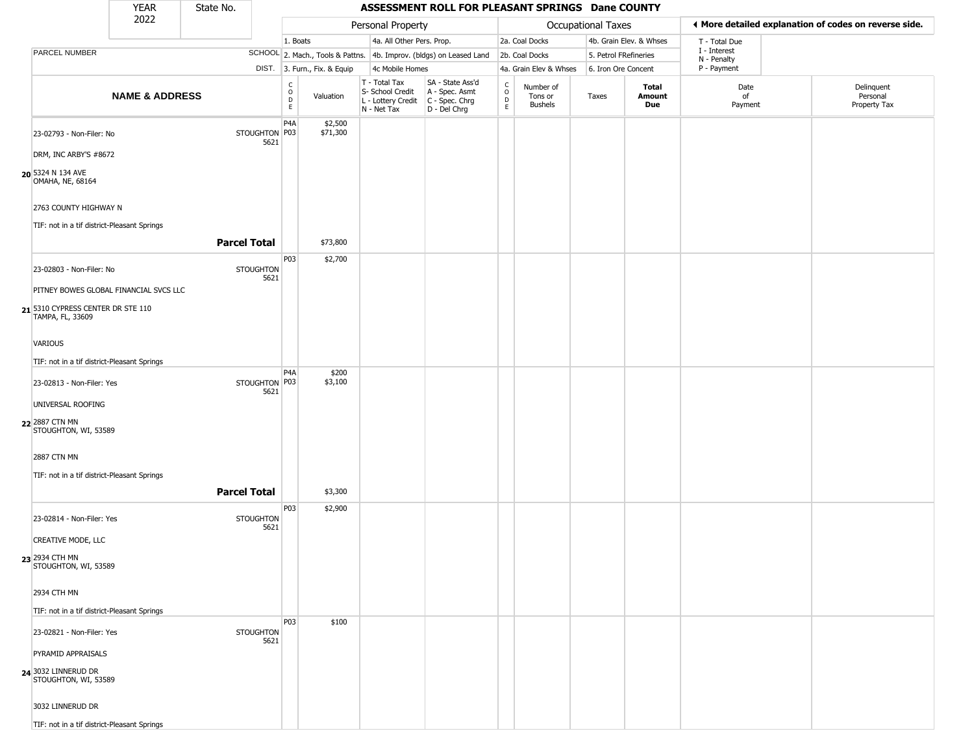|         |                                                                      | <b>YEAR</b>                            | State No.           |                          |                                                |                              |                                                                                         | ASSESSMENT ROLL FOR PLEASANT SPRINGS Dane COUNTY                    |                                                |                                        |                     |                         |                             |                                                       |
|---------|----------------------------------------------------------------------|----------------------------------------|---------------------|--------------------------|------------------------------------------------|------------------------------|-----------------------------------------------------------------------------------------|---------------------------------------------------------------------|------------------------------------------------|----------------------------------------|---------------------|-------------------------|-----------------------------|-------------------------------------------------------|
|         |                                                                      | 2022                                   |                     |                          |                                                |                              | Personal Property                                                                       |                                                                     |                                                |                                        | Occupational Taxes  |                         |                             | ♦ More detailed explanation of codes on reverse side. |
|         |                                                                      |                                        |                     |                          | 1. Boats                                       |                              | 4a. All Other Pers. Prop.                                                               |                                                                     |                                                | 2a. Coal Docks                         |                     | 4b. Grain Elev. & Whses | T - Total Due               |                                                       |
|         | PARCEL NUMBER                                                        |                                        |                     |                          |                                                |                              |                                                                                         | SCHOOL 2. Mach., Tools & Pattns. 4b. Improv. (bldgs) on Leased Land |                                                | 2b. Coal Docks                         |                     | 5. Petrol FRefineries   | I - Interest<br>N - Penalty |                                                       |
|         |                                                                      |                                        |                     |                          |                                                | DIST. 3. Furn., Fix. & Equip | 4c Mobile Homes                                                                         |                                                                     |                                                | 4a. Grain Elev & Whses                 | 6. Iron Ore Concent |                         | P - Payment                 |                                                       |
|         |                                                                      | <b>NAME &amp; ADDRESS</b>              |                     |                          | $\begin{matrix} 0 \\ 0 \\ D \end{matrix}$<br>E | Valuation                    | T - Total Tax<br>S- School Credit<br>L - Lottery Credit   C - Spec. Chrg<br>N - Net Tax | SA - State Ass'd<br>A - Spec. Asmt<br>D - Del Chrg                  | $\begin{matrix} 0 \\ 0 \\ D \end{matrix}$<br>E | Number of<br>Tons or<br><b>Bushels</b> | Taxes               | Total<br>Amount<br>Due  | Date<br>of<br>Payment       | Delinquent<br>Personal<br>Property Tax                |
|         | 23-02793 - Non-Filer: No<br>DRM, INC ARBY'S #8672                    |                                        |                     | STOUGHTON P03<br>5621    | P <sub>4</sub> A                               | \$2,500<br>\$71,300          |                                                                                         |                                                                     |                                                |                                        |                     |                         |                             |                                                       |
|         | 20 5324 N 134 AVE<br>OMAHA, NE, 68164                                |                                        |                     |                          |                                                |                              |                                                                                         |                                                                     |                                                |                                        |                     |                         |                             |                                                       |
|         | 2763 COUNTY HIGHWAY N<br>TIF: not in a tif district-Pleasant Springs |                                        |                     |                          |                                                |                              |                                                                                         |                                                                     |                                                |                                        |                     |                         |                             |                                                       |
|         |                                                                      |                                        | <b>Parcel Total</b> |                          |                                                | \$73,800                     |                                                                                         |                                                                     |                                                |                                        |                     |                         |                             |                                                       |
|         | 23-02803 - Non-Filer: No                                             |                                        |                     | <b>STOUGHTON</b><br>5621 | P03                                            | \$2,700                      |                                                                                         |                                                                     |                                                |                                        |                     |                         |                             |                                                       |
|         | 21 5310 CYPRESS CENTER DR STE 110<br>TAMPA, FL, 33609                | PITNEY BOWES GLOBAL FINANCIAL SVCS LLC |                     |                          |                                                |                              |                                                                                         |                                                                     |                                                |                                        |                     |                         |                             |                                                       |
| VARIOUS |                                                                      |                                        |                     |                          |                                                |                              |                                                                                         |                                                                     |                                                |                                        |                     |                         |                             |                                                       |
|         | TIF: not in a tif district-Pleasant Springs                          |                                        |                     |                          |                                                |                              |                                                                                         |                                                                     |                                                |                                        |                     |                         |                             |                                                       |
|         | 23-02813 - Non-Filer: Yes                                            |                                        |                     | STOUGHTON P03<br>5621    | P <sub>4</sub> A                               | \$200<br>\$3,100             |                                                                                         |                                                                     |                                                |                                        |                     |                         |                             |                                                       |
|         | UNIVERSAL ROOFING<br>22 2887 CTN MN<br>STOUGHTON, WI, 53589          |                                        |                     |                          |                                                |                              |                                                                                         |                                                                     |                                                |                                        |                     |                         |                             |                                                       |
|         | 2887 CTN MN                                                          |                                        |                     |                          |                                                |                              |                                                                                         |                                                                     |                                                |                                        |                     |                         |                             |                                                       |
|         | TIF: not in a tif district-Pleasant Springs                          |                                        | <b>Parcel Total</b> |                          |                                                | \$3,300                      |                                                                                         |                                                                     |                                                |                                        |                     |                         |                             |                                                       |
|         | 23-02814 - Non-Filer: Yes                                            |                                        |                     | <b>STOUGHTON</b><br>5621 | P03                                            | \$2,900                      |                                                                                         |                                                                     |                                                |                                        |                     |                         |                             |                                                       |
|         | CREATIVE MODE, LLC                                                   |                                        |                     |                          |                                                |                              |                                                                                         |                                                                     |                                                |                                        |                     |                         |                             |                                                       |
|         | 23 2934 CTH MN<br>STOUGHTON, WI, 53589                               |                                        |                     |                          |                                                |                              |                                                                                         |                                                                     |                                                |                                        |                     |                         |                             |                                                       |
|         | 2934 CTH MN                                                          |                                        |                     |                          |                                                |                              |                                                                                         |                                                                     |                                                |                                        |                     |                         |                             |                                                       |
|         | TIF: not in a tif district-Pleasant Springs                          |                                        |                     |                          |                                                |                              |                                                                                         |                                                                     |                                                |                                        |                     |                         |                             |                                                       |
|         | 23-02821 - Non-Filer: Yes                                            |                                        |                     | <b>STOUGHTON</b><br>5621 | <b>P03</b>                                     | \$100                        |                                                                                         |                                                                     |                                                |                                        |                     |                         |                             |                                                       |
|         | PYRAMID APPRAISALS<br>24 3032 LINNERUD DR<br>STOUGHTON, WI, 53589    |                                        |                     |                          |                                                |                              |                                                                                         |                                                                     |                                                |                                        |                     |                         |                             |                                                       |
|         | 3032 LINNERUD DR                                                     |                                        |                     |                          |                                                |                              |                                                                                         |                                                                     |                                                |                                        |                     |                         |                             |                                                       |
|         | TIF: not in a tif district-Pleasant Springs                          |                                        |                     |                          |                                                |                              |                                                                                         |                                                                     |                                                |                                        |                     |                         |                             |                                                       |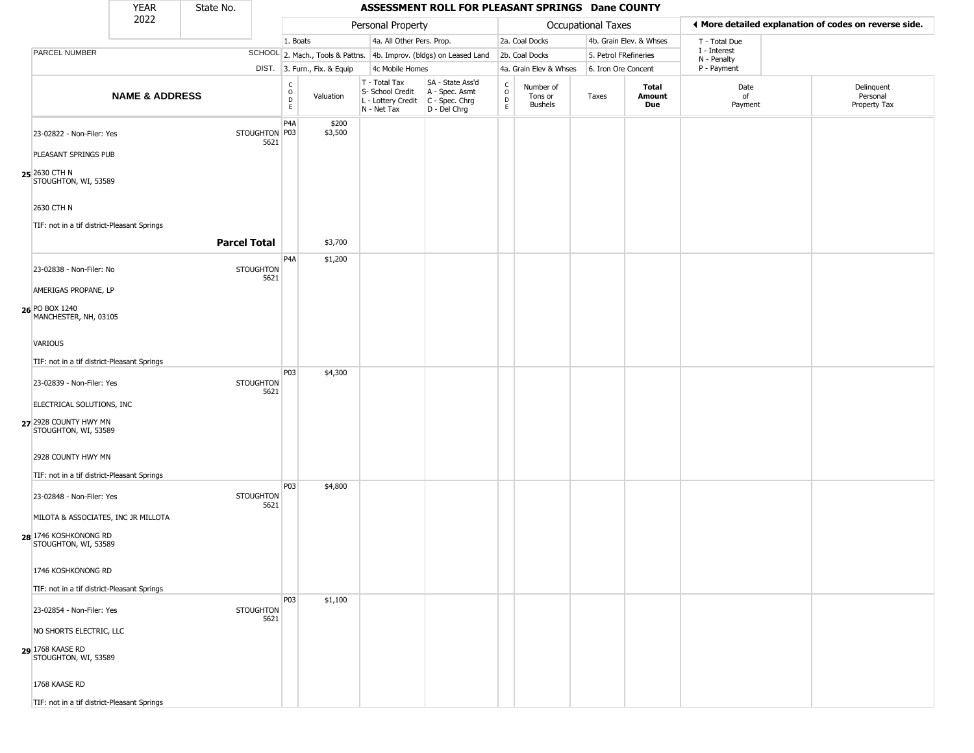|                                                                                      | <b>YEAR</b>               | State No.                |                                                                    |                              |                                                                                         | ASSESSMENT ROLL FOR PLEASANT SPRINGS Dane COUNTY                    |                                                |                                 |                     |                         |                             |                                                       |
|--------------------------------------------------------------------------------------|---------------------------|--------------------------|--------------------------------------------------------------------|------------------------------|-----------------------------------------------------------------------------------------|---------------------------------------------------------------------|------------------------------------------------|---------------------------------|---------------------|-------------------------|-----------------------------|-------------------------------------------------------|
|                                                                                      | 2022                      |                          |                                                                    |                              | Personal Property                                                                       |                                                                     |                                                |                                 | Occupational Taxes  |                         |                             | ◀ More detailed explanation of codes on reverse side. |
|                                                                                      |                           |                          | 1. Boats                                                           |                              | 4a. All Other Pers. Prop.                                                               |                                                                     |                                                | 2a. Coal Docks                  |                     | 4b. Grain Elev. & Whses | T - Total Due               |                                                       |
| PARCEL NUMBER                                                                        |                           |                          |                                                                    |                              |                                                                                         | SCHOOL 2. Mach., Tools & Pattns. 4b. Improv. (bldgs) on Leased Land |                                                | 2b. Coal Docks                  |                     | 5. Petrol FRefineries   | I - Interest<br>N - Penalty |                                                       |
|                                                                                      |                           |                          |                                                                    | DIST. 3. Furn., Fix. & Equip | 4c Mobile Homes                                                                         |                                                                     |                                                | 4a. Grain Elev & Whses          | 6. Iron Ore Concent |                         | P - Payment                 |                                                       |
|                                                                                      | <b>NAME &amp; ADDRESS</b> |                          | $\begin{smallmatrix} C \\ O \\ D \end{smallmatrix}$<br>$\mathsf E$ | Valuation                    | T - Total Tax<br>S- School Credit<br>L - Lottery Credit   C - Spec. Chrg<br>N - Net Tax | SA - State Ass'd<br>A - Spec. Asmt<br>D - Del Chrg                  | $\begin{matrix} 0 \\ 0 \\ 0 \end{matrix}$<br>E | Number of<br>Tons or<br>Bushels | Taxes               | Total<br>Amount<br>Due  | Date<br>of<br>Payment       | Delinquent<br>Personal<br>Property Tax                |
| 23-02822 - Non-Filer: Yes<br>PLEASANT SPRINGS PUB                                    |                           | STOUGHTON P03<br>5621    | P4A                                                                | \$200<br>\$3,500             |                                                                                         |                                                                     |                                                |                                 |                     |                         |                             |                                                       |
| 25 2630 CTH N<br>STOUGHTON, WI, 53589                                                |                           |                          |                                                                    |                              |                                                                                         |                                                                     |                                                |                                 |                     |                         |                             |                                                       |
| 2630 CTH N<br>TIF: not in a tif district-Pleasant Springs                            |                           |                          |                                                                    |                              |                                                                                         |                                                                     |                                                |                                 |                     |                         |                             |                                                       |
|                                                                                      |                           | <b>Parcel Total</b>      |                                                                    | \$3,700                      |                                                                                         |                                                                     |                                                |                                 |                     |                         |                             |                                                       |
| 23-02838 - Non-Filer: No                                                             |                           | STOUGHTON<br>5621        | P <sub>4</sub> A                                                   | \$1,200                      |                                                                                         |                                                                     |                                                |                                 |                     |                         |                             |                                                       |
| AMERIGAS PROPANE, LP                                                                 |                           |                          |                                                                    |                              |                                                                                         |                                                                     |                                                |                                 |                     |                         |                             |                                                       |
| 26 PO BOX 1240<br>MANCHESTER, NH, 03105                                              |                           |                          |                                                                    |                              |                                                                                         |                                                                     |                                                |                                 |                     |                         |                             |                                                       |
| VARIOUS                                                                              |                           |                          |                                                                    |                              |                                                                                         |                                                                     |                                                |                                 |                     |                         |                             |                                                       |
| TIF: not in a tif district-Pleasant Springs                                          |                           |                          | P03                                                                | \$4,300                      |                                                                                         |                                                                     |                                                |                                 |                     |                         |                             |                                                       |
| 23-02839 - Non-Filer: Yes                                                            |                           | <b>STOUGHTON</b><br>5621 |                                                                    |                              |                                                                                         |                                                                     |                                                |                                 |                     |                         |                             |                                                       |
| ELECTRICAL SOLUTIONS, INC<br>27 2928 COUNTY HWY MN<br>STOUGHTON, WI, 53589           |                           |                          |                                                                    |                              |                                                                                         |                                                                     |                                                |                                 |                     |                         |                             |                                                       |
| 2928 COUNTY HWY MN                                                                   |                           |                          |                                                                    |                              |                                                                                         |                                                                     |                                                |                                 |                     |                         |                             |                                                       |
| TIF: not in a tif district-Pleasant Springs                                          |                           |                          | P03                                                                | \$4,800                      |                                                                                         |                                                                     |                                                |                                 |                     |                         |                             |                                                       |
| 23-02848 - Non-Filer: Yes                                                            |                           | <b>STOUGHTON</b><br>5621 |                                                                    |                              |                                                                                         |                                                                     |                                                |                                 |                     |                         |                             |                                                       |
| MILOTA & ASSOCIATES, INC JR MILLOTA<br>28 1746 KOSHKONONG RD<br>STOUGHTON, WI, 53589 |                           |                          |                                                                    |                              |                                                                                         |                                                                     |                                                |                                 |                     |                         |                             |                                                       |
| 1746 KOSHKONONG RD                                                                   |                           |                          |                                                                    |                              |                                                                                         |                                                                     |                                                |                                 |                     |                         |                             |                                                       |
| TIF: not in a tif district-Pleasant Springs                                          |                           |                          | P03                                                                | \$1,100                      |                                                                                         |                                                                     |                                                |                                 |                     |                         |                             |                                                       |
| 23-02854 - Non-Filer: Yes                                                            |                           | <b>STOUGHTON</b><br>5621 |                                                                    |                              |                                                                                         |                                                                     |                                                |                                 |                     |                         |                             |                                                       |
| NO SHORTS ELECTRIC, LLC                                                              |                           |                          |                                                                    |                              |                                                                                         |                                                                     |                                                |                                 |                     |                         |                             |                                                       |
| 29 1768 KAASE RD<br>STOUGHTON, WI, 53589                                             |                           |                          |                                                                    |                              |                                                                                         |                                                                     |                                                |                                 |                     |                         |                             |                                                       |
| 1768 KAASE RD                                                                        |                           |                          |                                                                    |                              |                                                                                         |                                                                     |                                                |                                 |                     |                         |                             |                                                       |
| TIF: not in a tif district-Pleasant Springs                                          |                           |                          |                                                                    |                              |                                                                                         |                                                                     |                                                |                                 |                     |                         |                             |                                                       |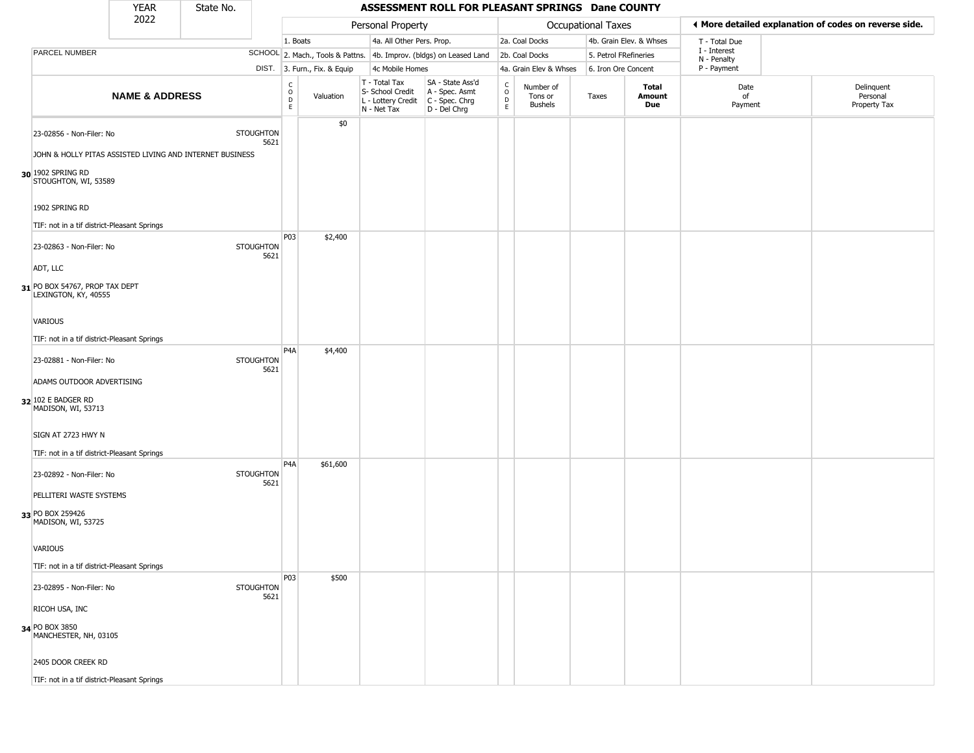|                                                                                                                                   | <b>YEAR</b>               | State No. |                          |                        |                              |                                                                        | ASSESSMENT ROLL FOR PLEASANT SPRINGS Dane COUNTY                     |                                   |                                        |                           |                         |                             |                                                        |
|-----------------------------------------------------------------------------------------------------------------------------------|---------------------------|-----------|--------------------------|------------------------|------------------------------|------------------------------------------------------------------------|----------------------------------------------------------------------|-----------------------------------|----------------------------------------|---------------------------|-------------------------|-----------------------------|--------------------------------------------------------|
|                                                                                                                                   | 2022                      |           |                          |                        |                              | Personal Property                                                      |                                                                      |                                   |                                        | <b>Occupational Taxes</b> |                         |                             | If More detailed explanation of codes on reverse side. |
|                                                                                                                                   |                           |           |                          | 1. Boats               |                              | 4a. All Other Pers. Prop.                                              |                                                                      |                                   | 2a. Coal Docks                         |                           | 4b. Grain Elev. & Whses | T - Total Due               |                                                        |
| <b>PARCEL NUMBER</b>                                                                                                              |                           |           |                          |                        |                              |                                                                        | SCHOOL 2. Mach., Tools & Pattns. 4b. Improv. (bldgs) on Leased Land  |                                   | 2b. Coal Docks                         | 5. Petrol FRefineries     |                         | I - Interest<br>N - Penalty |                                                        |
|                                                                                                                                   |                           |           |                          |                        | DIST. 3. Furn., Fix. & Equip | 4c Mobile Homes                                                        |                                                                      |                                   | 4a. Grain Elev & Whses                 | 6. Iron Ore Concent       |                         | P - Payment                 |                                                        |
|                                                                                                                                   | <b>NAME &amp; ADDRESS</b> |           |                          | C<br>$\circ$<br>D<br>E | Valuation                    | T - Total Tax<br>S- School Credit<br>L - Lottery Credit<br>N - Net Tax | SA - State Ass'd<br>A - Spec. Asmt<br>C - Spec. Chrg<br>D - Del Chrg | $\mathsf{C}$<br>$\circ$<br>D<br>E | Number of<br>Tons or<br><b>Bushels</b> | Taxes                     | Total<br>Amount<br>Due  | Date<br>of<br>Payment       | Delinquent<br>Personal<br>Property Tax                 |
| 23-02856 - Non-Filer: No<br>JOHN & HOLLY PITAS ASSISTED LIVING AND INTERNET BUSINESS<br>30 1902 SPRING RD<br>STOUGHTON, WI, 53589 |                           |           | <b>STOUGHTON</b><br>5621 |                        | \$0                          |                                                                        |                                                                      |                                   |                                        |                           |                         |                             |                                                        |
| 1902 SPRING RD                                                                                                                    |                           |           |                          |                        |                              |                                                                        |                                                                      |                                   |                                        |                           |                         |                             |                                                        |
| TIF: not in a tif district-Pleasant Springs<br>23-02863 - Non-Filer: No<br>ADT, LLC<br>31 PO BOX 54767, PROP TAX DEPT             |                           |           | <b>STOUGHTON</b><br>5621 | P03                    | \$2,400                      |                                                                        |                                                                      |                                   |                                        |                           |                         |                             |                                                        |
| LEXINGTON, KY, 40555<br>VARIOUS<br>TIF: not in a tif district-Pleasant Springs                                                    |                           |           |                          | P <sub>4</sub> A       | \$4,400                      |                                                                        |                                                                      |                                   |                                        |                           |                         |                             |                                                        |
| 23-02881 - Non-Filer: No<br>ADAMS OUTDOOR ADVERTISING<br>32 102 E BADGER RD<br>MADISON, WI, 53713                                 |                           |           | <b>STOUGHTON</b><br>5621 |                        |                              |                                                                        |                                                                      |                                   |                                        |                           |                         |                             |                                                        |
| SIGN AT 2723 HWY N<br>TIF: not in a tif district-Pleasant Springs                                                                 |                           |           |                          |                        |                              |                                                                        |                                                                      |                                   |                                        |                           |                         |                             |                                                        |
| 23-02892 - Non-Filer: No<br>PELLITERI WASTE SYSTEMS                                                                               |                           |           | <b>STOUGHTON</b><br>5621 | P <sub>4</sub> A       | \$61,600                     |                                                                        |                                                                      |                                   |                                        |                           |                         |                             |                                                        |
| 33 PO BOX 259426<br>MADISON, WI, 53725<br>VARIOUS                                                                                 |                           |           |                          |                        |                              |                                                                        |                                                                      |                                   |                                        |                           |                         |                             |                                                        |
| TIF: not in a tif district-Pleasant Springs                                                                                       |                           |           |                          | P03                    | \$500                        |                                                                        |                                                                      |                                   |                                        |                           |                         |                             |                                                        |
| 23-02895 - Non-Filer: No<br>RICOH USA, INC                                                                                        |                           |           | <b>STOUGHTON</b><br>5621 |                        |                              |                                                                        |                                                                      |                                   |                                        |                           |                         |                             |                                                        |
| 34 PO BOX 3850<br>MANCHESTER, NH, 03105                                                                                           |                           |           |                          |                        |                              |                                                                        |                                                                      |                                   |                                        |                           |                         |                             |                                                        |
| 2405 DOOR CREEK RD                                                                                                                |                           |           |                          |                        |                              |                                                                        |                                                                      |                                   |                                        |                           |                         |                             |                                                        |
| TIF: not in a tif district-Pleasant Springs                                                                                       |                           |           |                          |                        |                              |                                                                        |                                                                      |                                   |                                        |                           |                         |                             |                                                        |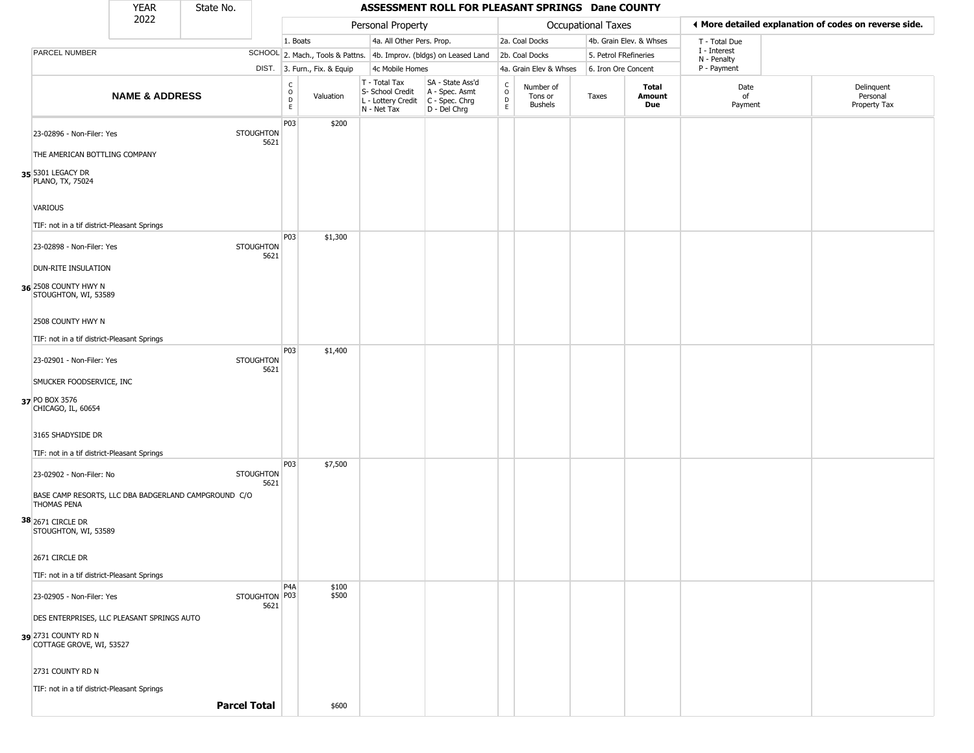|                                                               | <b>YEAR</b>               | State No.                                            |                          |                                |                              |                                                                                         | ASSESSMENT ROLL FOR PLEASANT SPRINGS Dane COUNTY                    |                                    |                                 |                       |                         |                             |                                                       |
|---------------------------------------------------------------|---------------------------|------------------------------------------------------|--------------------------|--------------------------------|------------------------------|-----------------------------------------------------------------------------------------|---------------------------------------------------------------------|------------------------------------|---------------------------------|-----------------------|-------------------------|-----------------------------|-------------------------------------------------------|
|                                                               | 2022                      |                                                      |                          |                                |                              | Personal Property                                                                       |                                                                     |                                    |                                 | Occupational Taxes    |                         |                             | ♦ More detailed explanation of codes on reverse side. |
|                                                               |                           |                                                      |                          | 1. Boats                       |                              | 4a. All Other Pers. Prop.                                                               |                                                                     |                                    | 2a. Coal Docks                  |                       | 4b. Grain Elev. & Whses | T - Total Due               |                                                       |
| PARCEL NUMBER                                                 |                           |                                                      |                          |                                |                              |                                                                                         | SCHOOL 2. Mach., Tools & Pattns. 4b. Improv. (bldgs) on Leased Land |                                    | 2b. Coal Docks                  | 5. Petrol FRefineries |                         | I - Interest<br>N - Penalty |                                                       |
|                                                               |                           |                                                      |                          |                                | DIST. 3. Furn., Fix. & Equip | 4c Mobile Homes                                                                         |                                                                     |                                    | 4a. Grain Elev & Whses          | 6. Iron Ore Concent   |                         | P - Payment                 |                                                       |
|                                                               | <b>NAME &amp; ADDRESS</b> |                                                      |                          | $\frac{c}{0}$<br>$\frac{D}{E}$ | Valuation                    | T - Total Tax<br>S- School Credit<br>L - Lottery Credit   C - Spec. Chrg<br>N - Net Tax | SA - State Ass'd<br>A - Spec. Asmt<br>$D - Del Chrg$                | $\frac{C}{2}$<br>$\circ$<br>D<br>E | Number of<br>Tons or<br>Bushels | Taxes                 | Total<br>Amount<br>Due  | Date<br>of<br>Payment       | Delinquent<br>Personal<br>Property Tax                |
| 23-02896 - Non-Filer: Yes                                     |                           |                                                      | <b>STOUGHTON</b><br>5621 | P03                            | \$200                        |                                                                                         |                                                                     |                                    |                                 |                       |                         |                             |                                                       |
| THE AMERICAN BOTTLING COMPANY                                 |                           |                                                      |                          |                                |                              |                                                                                         |                                                                     |                                    |                                 |                       |                         |                             |                                                       |
| 35 5301 LEGACY DR<br>PLANO, TX, 75024                         |                           |                                                      |                          |                                |                              |                                                                                         |                                                                     |                                    |                                 |                       |                         |                             |                                                       |
| <b>VARIOUS</b><br>TIF: not in a tif district-Pleasant Springs |                           |                                                      |                          |                                |                              |                                                                                         |                                                                     |                                    |                                 |                       |                         |                             |                                                       |
| 23-02898 - Non-Filer: Yes                                     |                           |                                                      | <b>STOUGHTON</b>         | P03                            | \$1,300                      |                                                                                         |                                                                     |                                    |                                 |                       |                         |                             |                                                       |
| DUN-RITE INSULATION                                           |                           |                                                      | 5621                     |                                |                              |                                                                                         |                                                                     |                                    |                                 |                       |                         |                             |                                                       |
| 36 2508 COUNTY HWY N<br>STOUGHTON, WI, 53589                  |                           |                                                      |                          |                                |                              |                                                                                         |                                                                     |                                    |                                 |                       |                         |                             |                                                       |
| 2508 COUNTY HWY N                                             |                           |                                                      |                          |                                |                              |                                                                                         |                                                                     |                                    |                                 |                       |                         |                             |                                                       |
| TIF: not in a tif district-Pleasant Springs                   |                           |                                                      |                          | P03                            | \$1,400                      |                                                                                         |                                                                     |                                    |                                 |                       |                         |                             |                                                       |
| 23-02901 - Non-Filer: Yes                                     |                           |                                                      | <b>STOUGHTON</b><br>5621 |                                |                              |                                                                                         |                                                                     |                                    |                                 |                       |                         |                             |                                                       |
| SMUCKER FOODSERVICE, INC                                      |                           |                                                      |                          |                                |                              |                                                                                         |                                                                     |                                    |                                 |                       |                         |                             |                                                       |
| 37 PO BOX 3576<br>CHICAGO, IL, 60654                          |                           |                                                      |                          |                                |                              |                                                                                         |                                                                     |                                    |                                 |                       |                         |                             |                                                       |
| 3165 SHADYSIDE DR                                             |                           |                                                      |                          |                                |                              |                                                                                         |                                                                     |                                    |                                 |                       |                         |                             |                                                       |
| TIF: not in a tif district-Pleasant Springs                   |                           |                                                      |                          |                                |                              |                                                                                         |                                                                     |                                    |                                 |                       |                         |                             |                                                       |
| 23-02902 - Non-Filer: No                                      |                           |                                                      | <b>STOUGHTON</b><br>5621 | P03                            | \$7,500                      |                                                                                         |                                                                     |                                    |                                 |                       |                         |                             |                                                       |
| <b>THOMAS PENA</b>                                            |                           | BASE CAMP RESORTS, LLC DBA BADGERLAND CAMPGROUND C/O |                          |                                |                              |                                                                                         |                                                                     |                                    |                                 |                       |                         |                             |                                                       |
| 38 2671 CIRCLE DR<br>STOUGHTON, WI, 53589                     |                           |                                                      |                          |                                |                              |                                                                                         |                                                                     |                                    |                                 |                       |                         |                             |                                                       |
| 2671 CIRCLE DR                                                |                           |                                                      |                          |                                |                              |                                                                                         |                                                                     |                                    |                                 |                       |                         |                             |                                                       |
| TIF: not in a tif district-Pleasant Springs                   |                           |                                                      |                          |                                |                              |                                                                                         |                                                                     |                                    |                                 |                       |                         |                             |                                                       |
| 23-02905 - Non-Filer: Yes                                     |                           |                                                      | STOUGHTON P03<br>5621    | P <sub>4</sub> A               | \$100<br>\$500               |                                                                                         |                                                                     |                                    |                                 |                       |                         |                             |                                                       |
| DES ENTERPRISES, LLC PLEASANT SPRINGS AUTO                    |                           |                                                      |                          |                                |                              |                                                                                         |                                                                     |                                    |                                 |                       |                         |                             |                                                       |
| 39 2731 COUNTY RD N<br>COTTAGE GROVE, WI, 53527               |                           |                                                      |                          |                                |                              |                                                                                         |                                                                     |                                    |                                 |                       |                         |                             |                                                       |
| 2731 COUNTY RD N                                              |                           |                                                      |                          |                                |                              |                                                                                         |                                                                     |                                    |                                 |                       |                         |                             |                                                       |
| TIF: not in a tif district-Pleasant Springs                   |                           |                                                      |                          |                                |                              |                                                                                         |                                                                     |                                    |                                 |                       |                         |                             |                                                       |
|                                                               |                           | <b>Parcel Total</b>                                  |                          |                                | \$600                        |                                                                                         |                                                                     |                                    |                                 |                       |                         |                             |                                                       |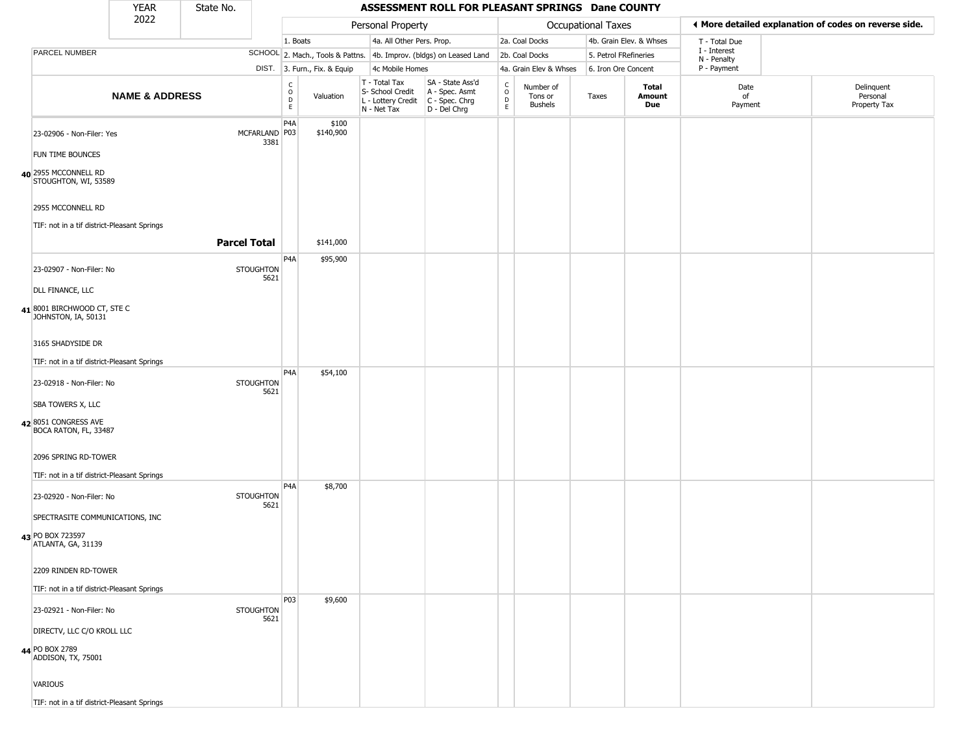|                                                      | <b>YEAR</b>               | State No.           |                                                          |                              |                                                                                         | ASSESSMENT ROLL FOR PLEASANT SPRINGS Dane COUNTY                    |                                                          |                                        |                     |                         |                             |                                                       |
|------------------------------------------------------|---------------------------|---------------------|----------------------------------------------------------|------------------------------|-----------------------------------------------------------------------------------------|---------------------------------------------------------------------|----------------------------------------------------------|----------------------------------------|---------------------|-------------------------|-----------------------------|-------------------------------------------------------|
|                                                      | 2022                      |                     |                                                          |                              | Personal Property                                                                       |                                                                     |                                                          |                                        | Occupational Taxes  |                         |                             | ◀ More detailed explanation of codes on reverse side. |
|                                                      |                           |                     |                                                          | 1. Boats                     | 4a. All Other Pers. Prop.                                                               |                                                                     |                                                          | 2a. Coal Docks                         |                     | 4b. Grain Elev. & Whses | T - Total Due               |                                                       |
| PARCEL NUMBER                                        |                           |                     |                                                          |                              |                                                                                         | SCHOOL 2. Mach., Tools & Pattns. 4b. Improv. (bldgs) on Leased Land |                                                          | 2b. Coal Docks                         |                     | 5. Petrol FRefineries   | I - Interest<br>N - Penalty |                                                       |
|                                                      |                           |                     |                                                          | DIST. 3. Furn., Fix. & Equip | 4c Mobile Homes                                                                         |                                                                     |                                                          | 4a. Grain Elev & Whses                 | 6. Iron Ore Concent |                         | P - Payment                 |                                                       |
|                                                      | <b>NAME &amp; ADDRESS</b> |                     | $\begin{smallmatrix} C \\ O \\ D \end{smallmatrix}$<br>E | Valuation                    | T - Total Tax<br>S- School Credit<br>L - Lottery Credit   C - Spec. Chrg<br>N - Net Tax | SA - State Ass'd<br>A - Spec. Asmt<br>$D - Del Chrg$                | $\begin{matrix} 0 \\ 0 \\ 0 \end{matrix}$<br>$\mathsf E$ | Number of<br>Tons or<br><b>Bushels</b> | Taxes               | Total<br>Amount<br>Due  | Date<br>of<br>Payment       | Delinquent<br>Personal<br>Property Tax                |
| 23-02906 - Non-Filer: Yes                            |                           | MCFARLAND P03       | P <sub>4</sub> A<br>3381                                 | \$100<br>\$140,900           |                                                                                         |                                                                     |                                                          |                                        |                     |                         |                             |                                                       |
| <b>FUN TIME BOUNCES</b>                              |                           |                     |                                                          |                              |                                                                                         |                                                                     |                                                          |                                        |                     |                         |                             |                                                       |
| 40 2955 MCCONNELL RD<br>STOUGHTON, WI, 53589         |                           |                     |                                                          |                              |                                                                                         |                                                                     |                                                          |                                        |                     |                         |                             |                                                       |
| 2955 MCCONNELL RD                                    |                           |                     |                                                          |                              |                                                                                         |                                                                     |                                                          |                                        |                     |                         |                             |                                                       |
| TIF: not in a tif district-Pleasant Springs          |                           |                     |                                                          |                              |                                                                                         |                                                                     |                                                          |                                        |                     |                         |                             |                                                       |
|                                                      |                           | <b>Parcel Total</b> |                                                          | \$141,000                    |                                                                                         |                                                                     |                                                          |                                        |                     |                         |                             |                                                       |
| 23-02907 - Non-Filer: No                             |                           | <b>STOUGHTON</b>    | P <sub>4</sub> A<br>5621                                 | \$95,900                     |                                                                                         |                                                                     |                                                          |                                        |                     |                         |                             |                                                       |
| DLL FINANCE, LLC                                     |                           |                     |                                                          |                              |                                                                                         |                                                                     |                                                          |                                        |                     |                         |                             |                                                       |
| $41$ 8001 BIRCHWOOD CT, STE C<br>JOHNSTON, IA, 50131 |                           |                     |                                                          |                              |                                                                                         |                                                                     |                                                          |                                        |                     |                         |                             |                                                       |
| 3165 SHADYSIDE DR                                    |                           |                     |                                                          |                              |                                                                                         |                                                                     |                                                          |                                        |                     |                         |                             |                                                       |
| TIF: not in a tif district-Pleasant Springs          |                           |                     |                                                          |                              |                                                                                         |                                                                     |                                                          |                                        |                     |                         |                             |                                                       |
| 23-02918 - Non-Filer: No                             |                           | <b>STOUGHTON</b>    | P <sub>4</sub> A<br>5621                                 | \$54,100                     |                                                                                         |                                                                     |                                                          |                                        |                     |                         |                             |                                                       |
| <b>SBA TOWERS X, LLC</b>                             |                           |                     |                                                          |                              |                                                                                         |                                                                     |                                                          |                                        |                     |                         |                             |                                                       |
| 428051 CONGRESS AVE<br>BOCA RATON, FL, 33487         |                           |                     |                                                          |                              |                                                                                         |                                                                     |                                                          |                                        |                     |                         |                             |                                                       |
| 2096 SPRING RD-TOWER                                 |                           |                     |                                                          |                              |                                                                                         |                                                                     |                                                          |                                        |                     |                         |                             |                                                       |
| TIF: not in a tif district-Pleasant Springs          |                           |                     | P <sub>4</sub> A                                         | \$8,700                      |                                                                                         |                                                                     |                                                          |                                        |                     |                         |                             |                                                       |
| 23-02920 - Non-Filer: No                             |                           | <b>STOUGHTON</b>    | 5621                                                     |                              |                                                                                         |                                                                     |                                                          |                                        |                     |                         |                             |                                                       |
| SPECTRASITE COMMUNICATIONS, INC                      |                           |                     |                                                          |                              |                                                                                         |                                                                     |                                                          |                                        |                     |                         |                             |                                                       |
| 43 PO BOX 723597<br>ATLANTA, GA, 31139               |                           |                     |                                                          |                              |                                                                                         |                                                                     |                                                          |                                        |                     |                         |                             |                                                       |
| 2209 RINDEN RD-TOWER                                 |                           |                     |                                                          |                              |                                                                                         |                                                                     |                                                          |                                        |                     |                         |                             |                                                       |
| TIF: not in a tif district-Pleasant Springs          |                           |                     |                                                          |                              |                                                                                         |                                                                     |                                                          |                                        |                     |                         |                             |                                                       |
| 23-02921 - Non-Filer: No                             |                           | <b>STOUGHTON</b>    | P03<br>5621                                              | \$9,600                      |                                                                                         |                                                                     |                                                          |                                        |                     |                         |                             |                                                       |
| DIRECTV, LLC C/O KROLL LLC                           |                           |                     |                                                          |                              |                                                                                         |                                                                     |                                                          |                                        |                     |                         |                             |                                                       |
| 44 PO BOX 2789<br>ADDISON, TX, 75001                 |                           |                     |                                                          |                              |                                                                                         |                                                                     |                                                          |                                        |                     |                         |                             |                                                       |
| <b>VARIOUS</b>                                       |                           |                     |                                                          |                              |                                                                                         |                                                                     |                                                          |                                        |                     |                         |                             |                                                       |
| TIF: not in a tif district-Pleasant Springs          |                           |                     |                                                          |                              |                                                                                         |                                                                     |                                                          |                                        |                     |                         |                             |                                                       |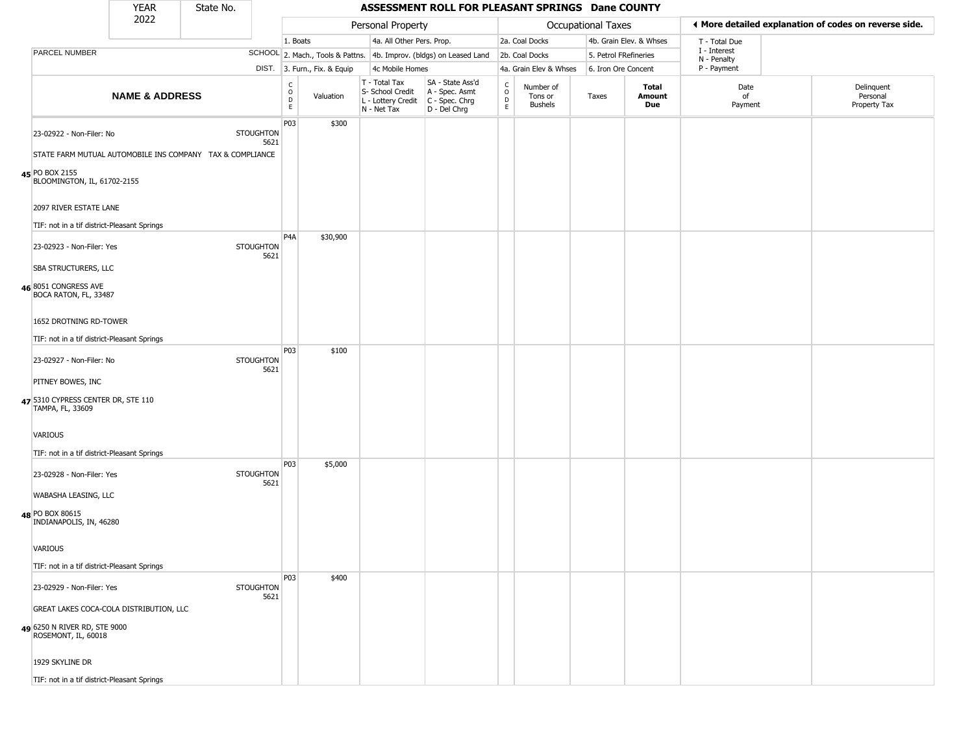|                      | <b>YEAR</b>                                                                              | State No. |                          |                              |                              |                                                                                       | ASSESSMENT ROLL FOR PLEASANT SPRINGS Dane COUNTY                    |                                          |                                        |                       |                         |                             |                                                       |
|----------------------|------------------------------------------------------------------------------------------|-----------|--------------------------|------------------------------|------------------------------|---------------------------------------------------------------------------------------|---------------------------------------------------------------------|------------------------------------------|----------------------------------------|-----------------------|-------------------------|-----------------------------|-------------------------------------------------------|
|                      | 2022                                                                                     |           |                          |                              |                              | Personal Property                                                                     |                                                                     |                                          |                                        | Occupational Taxes    |                         |                             | ◀ More detailed explanation of codes on reverse side. |
|                      |                                                                                          |           |                          | 1. Boats                     |                              | 4a. All Other Pers. Prop.                                                             |                                                                     |                                          | 2a. Coal Docks                         |                       | 4b. Grain Elev. & Whses | T - Total Due               |                                                       |
| PARCEL NUMBER        |                                                                                          |           |                          |                              |                              |                                                                                       | SCHOOL 2. Mach., Tools & Pattns. 4b. Improv. (bldgs) on Leased Land |                                          | 2b. Coal Docks                         | 5. Petrol FRefineries |                         | I - Interest<br>N - Penalty |                                                       |
|                      |                                                                                          |           |                          |                              | DIST. 3. Furn., Fix. & Equip | 4c Mobile Homes                                                                       |                                                                     |                                          | 4a. Grain Elev & Whses                 | 6. Iron Ore Concent   |                         | P - Payment                 |                                                       |
|                      | <b>NAME &amp; ADDRESS</b>                                                                |           |                          | $_{\rm o}^{\rm c}$<br>D<br>E | Valuation                    | T - Total Tax<br>S- School Credit<br>L - Lottery Credit C - Spec. Chrg<br>N - Net Tax | SA - State Ass'd<br>A - Spec. Asmt<br>D - Del Chrg                  | $\rm _o^C$<br>$\mathsf D$<br>$\mathsf E$ | Number of<br>Tons or<br><b>Bushels</b> | Taxes                 | Total<br>Amount<br>Due  | Date<br>of<br>Payment       | Delinquent<br>Personal<br>Property Tax                |
|                      | 23-02922 - Non-Filer: No                                                                 |           | <b>STOUGHTON</b><br>5621 | P03                          | \$300                        |                                                                                       |                                                                     |                                          |                                        |                       |                         |                             |                                                       |
| 45 PO BOX 2155       | STATE FARM MUTUAL AUTOMOBILE INS COMPANY TAX & COMPLIANCE<br>BLOOMINGTON, IL, 61702-2155 |           |                          |                              |                              |                                                                                       |                                                                     |                                          |                                        |                       |                         |                             |                                                       |
|                      | 2097 RIVER ESTATE LANE                                                                   |           |                          |                              |                              |                                                                                       |                                                                     |                                          |                                        |                       |                         |                             |                                                       |
|                      | TIF: not in a tif district-Pleasant Springs                                              |           |                          |                              |                              |                                                                                       |                                                                     |                                          |                                        |                       |                         |                             |                                                       |
|                      | 23-02923 - Non-Filer: Yes                                                                |           | <b>STOUGHTON</b><br>5621 | P <sub>4</sub> A             | \$30,900                     |                                                                                       |                                                                     |                                          |                                        |                       |                         |                             |                                                       |
| 46 8051 CONGRESS AVE | SBA STRUCTURERS, LLC<br>BOCA RATON, FL, 33487                                            |           |                          |                              |                              |                                                                                       |                                                                     |                                          |                                        |                       |                         |                             |                                                       |
|                      | 1652 DROTNING RD-TOWER                                                                   |           |                          |                              |                              |                                                                                       |                                                                     |                                          |                                        |                       |                         |                             |                                                       |
|                      | TIF: not in a tif district-Pleasant Springs                                              |           |                          |                              |                              |                                                                                       |                                                                     |                                          |                                        |                       |                         |                             |                                                       |
|                      | 23-02927 - Non-Filer: No                                                                 |           | <b>STOUGHTON</b><br>5621 | P03                          | \$100                        |                                                                                       |                                                                     |                                          |                                        |                       |                         |                             |                                                       |
| PITNEY BOWES, INC    |                                                                                          |           |                          |                              |                              |                                                                                       |                                                                     |                                          |                                        |                       |                         |                             |                                                       |
| TAMPA, FL, 33609     | 47 5310 CYPRESS CENTER DR, STE 110                                                       |           |                          |                              |                              |                                                                                       |                                                                     |                                          |                                        |                       |                         |                             |                                                       |
| VARIOUS              |                                                                                          |           |                          |                              |                              |                                                                                       |                                                                     |                                          |                                        |                       |                         |                             |                                                       |
|                      | TIF: not in a tif district-Pleasant Springs                                              |           |                          | P03                          | \$5,000                      |                                                                                       |                                                                     |                                          |                                        |                       |                         |                             |                                                       |
|                      | 23-02928 - Non-Filer: Yes                                                                |           | <b>STOUGHTON</b><br>5621 |                              |                              |                                                                                       |                                                                     |                                          |                                        |                       |                         |                             |                                                       |
| 48 PO BOX 80615      | WABASHA LEASING, LLC                                                                     |           |                          |                              |                              |                                                                                       |                                                                     |                                          |                                        |                       |                         |                             |                                                       |
|                      | INDIANAPOLIS, IN, 46280                                                                  |           |                          |                              |                              |                                                                                       |                                                                     |                                          |                                        |                       |                         |                             |                                                       |
| VARIOUS              |                                                                                          |           |                          |                              |                              |                                                                                       |                                                                     |                                          |                                        |                       |                         |                             |                                                       |
|                      | TIF: not in a tif district-Pleasant Springs                                              |           |                          |                              |                              |                                                                                       |                                                                     |                                          |                                        |                       |                         |                             |                                                       |
|                      | 23-02929 - Non-Filer: Yes                                                                |           | STOUGHTON<br>5621        | P03                          | \$400                        |                                                                                       |                                                                     |                                          |                                        |                       |                         |                             |                                                       |
|                      | GREAT LAKES COCA-COLA DISTRIBUTION, LLC                                                  |           |                          |                              |                              |                                                                                       |                                                                     |                                          |                                        |                       |                         |                             |                                                       |
| ROSEMONT, IL, 60018  | 49 6250 N RIVER RD, STE 9000                                                             |           |                          |                              |                              |                                                                                       |                                                                     |                                          |                                        |                       |                         |                             |                                                       |
| 1929 SKYLINE DR      |                                                                                          |           |                          |                              |                              |                                                                                       |                                                                     |                                          |                                        |                       |                         |                             |                                                       |

TIF: not in a tif district-Pleasant Springs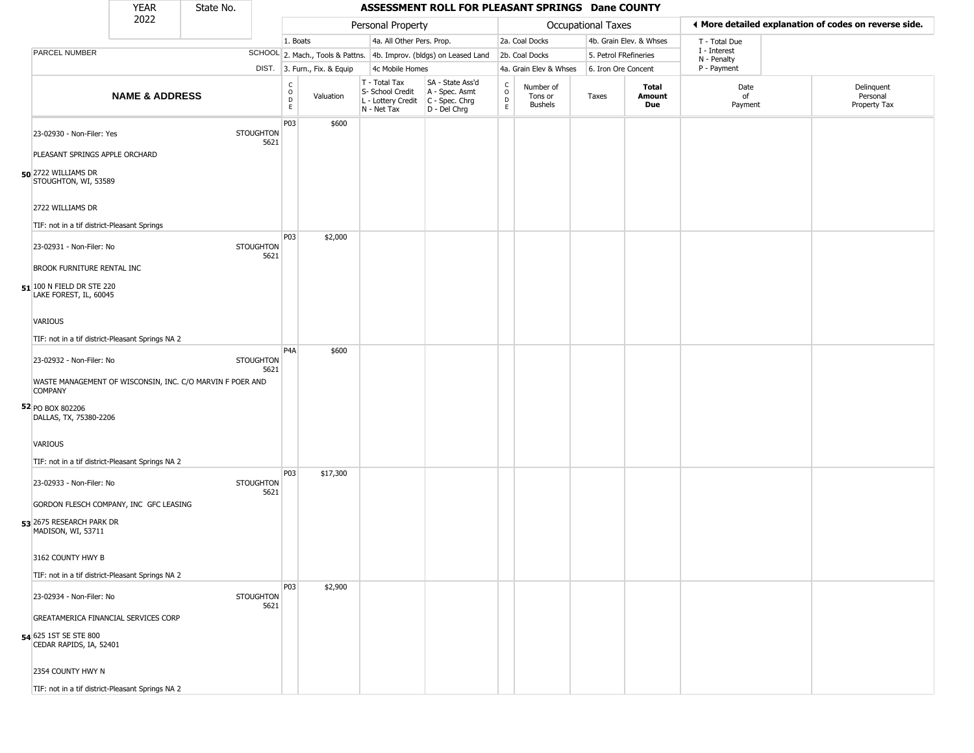|                                                     | <b>YEAR</b>               | State No.                                                 |                                                 |                              |                                                  | ASSESSMENT ROLL FOR PLEASANT SPRINGS Dane COUNTY                                          |                              |                                        |                           |                         |                             |                                                       |
|-----------------------------------------------------|---------------------------|-----------------------------------------------------------|-------------------------------------------------|------------------------------|--------------------------------------------------|-------------------------------------------------------------------------------------------|------------------------------|----------------------------------------|---------------------------|-------------------------|-----------------------------|-------------------------------------------------------|
|                                                     | 2022                      |                                                           |                                                 |                              | Personal Property                                |                                                                                           |                              |                                        | <b>Occupational Taxes</b> |                         |                             | I More detailed explanation of codes on reverse side. |
|                                                     |                           |                                                           |                                                 | 1. Boats                     |                                                  | 4a. All Other Pers. Prop.                                                                 |                              | 2a. Coal Docks                         |                           | 4b. Grain Elev. & Whses | T - Total Due               |                                                       |
| PARCEL NUMBER                                       |                           |                                                           |                                                 |                              |                                                  | SCHOOL 2. Mach., Tools & Pattns. 4b. Improv. (bldgs) on Leased Land                       |                              | 2b. Coal Docks                         | 5. Petrol FRefineries     |                         | I - Interest<br>N - Penalty |                                                       |
|                                                     |                           |                                                           |                                                 | DIST. 3. Furn., Fix. & Equip | 4c Mobile Homes                                  |                                                                                           |                              | 4a. Grain Elev & Whses                 | 6. Iron Ore Concent       |                         | P - Payment                 |                                                       |
|                                                     | <b>NAME &amp; ADDRESS</b> |                                                           | $\begin{array}{c} C \\ O \\ D \\ E \end{array}$ | Valuation                    | T - Total Tax<br>S- School Credit<br>N - Net Tax | SA - State Ass'd<br>A - Spec. Asmt<br>L - Lottery Credit   C - Spec. Chrg<br>D - Del Chrg | $_{\rm o}^{\rm c}$<br>D<br>E | Number of<br>Tons or<br><b>Bushels</b> | Taxes                     | Total<br>Amount<br>Due  | Date<br>of<br>Payment       | Delinquent<br>Personal<br>Property Tax                |
| 23-02930 - Non-Filer: Yes                           |                           | <b>STOUGHTON</b>                                          | P03<br>5621                                     | \$600                        |                                                  |                                                                                           |                              |                                        |                           |                         |                             |                                                       |
| PLEASANT SPRINGS APPLE ORCHARD                      |                           |                                                           |                                                 |                              |                                                  |                                                                                           |                              |                                        |                           |                         |                             |                                                       |
| 50 2722 WILLIAMS DR<br>STOUGHTON, WI, 53589         |                           |                                                           |                                                 |                              |                                                  |                                                                                           |                              |                                        |                           |                         |                             |                                                       |
| 2722 WILLIAMS DR                                    |                           |                                                           |                                                 |                              |                                                  |                                                                                           |                              |                                        |                           |                         |                             |                                                       |
| TIF: not in a tif district-Pleasant Springs         |                           |                                                           |                                                 |                              |                                                  |                                                                                           |                              |                                        |                           |                         |                             |                                                       |
| 23-02931 - Non-Filer: No                            |                           | <b>STOUGHTON</b>                                          | <b>P03</b><br>5621                              | \$2,000                      |                                                  |                                                                                           |                              |                                        |                           |                         |                             |                                                       |
| <b>BROOK FURNITURE RENTAL INC</b>                   |                           |                                                           |                                                 |                              |                                                  |                                                                                           |                              |                                        |                           |                         |                             |                                                       |
| 51 100 N FIELD DR STE 220<br>LAKE FOREST, IL, 60045 |                           |                                                           |                                                 |                              |                                                  |                                                                                           |                              |                                        |                           |                         |                             |                                                       |
| VARIOUS                                             |                           |                                                           |                                                 |                              |                                                  |                                                                                           |                              |                                        |                           |                         |                             |                                                       |
| TIF: not in a tif district-Pleasant Springs NA 2    |                           |                                                           |                                                 |                              |                                                  |                                                                                           |                              |                                        |                           |                         |                             |                                                       |
| 23-02932 - Non-Filer: No                            |                           | <b>STOUGHTON</b>                                          | P <sub>4</sub> A<br>5621                        | \$600                        |                                                  |                                                                                           |                              |                                        |                           |                         |                             |                                                       |
| <b>COMPANY</b>                                      |                           | WASTE MANAGEMENT OF WISCONSIN, INC. C/O MARVIN F POER AND |                                                 |                              |                                                  |                                                                                           |                              |                                        |                           |                         |                             |                                                       |
| 52 PO BOX 802206<br>DALLAS, TX, 75380-2206          |                           |                                                           |                                                 |                              |                                                  |                                                                                           |                              |                                        |                           |                         |                             |                                                       |
| VARIOUS                                             |                           |                                                           |                                                 |                              |                                                  |                                                                                           |                              |                                        |                           |                         |                             |                                                       |
| TIF: not in a tif district-Pleasant Springs NA 2    |                           |                                                           |                                                 |                              |                                                  |                                                                                           |                              |                                        |                           |                         |                             |                                                       |
| 23-02933 - Non-Filer: No                            |                           | <b>STOUGHTON</b>                                          | <b>P03</b><br>5621                              | \$17,300                     |                                                  |                                                                                           |                              |                                        |                           |                         |                             |                                                       |
| GORDON FLESCH COMPANY, INC GFC LEASING              |                           |                                                           |                                                 |                              |                                                  |                                                                                           |                              |                                        |                           |                         |                             |                                                       |
| 53 2675 RESEARCH PARK DR<br>MADISON, WI, 53711      |                           |                                                           |                                                 |                              |                                                  |                                                                                           |                              |                                        |                           |                         |                             |                                                       |
| 3162 COUNTY HWY B                                   |                           |                                                           |                                                 |                              |                                                  |                                                                                           |                              |                                        |                           |                         |                             |                                                       |
| TIF: not in a tif district-Pleasant Springs NA 2    |                           |                                                           |                                                 |                              |                                                  |                                                                                           |                              |                                        |                           |                         |                             |                                                       |
| 23-02934 - Non-Filer: No                            |                           | <b>STOUGHTON</b>                                          | <b>P03</b><br>5621                              | \$2,900                      |                                                  |                                                                                           |                              |                                        |                           |                         |                             |                                                       |
| <b>GREATAMERICA FINANCIAL SERVICES CORP</b>         |                           |                                                           |                                                 |                              |                                                  |                                                                                           |                              |                                        |                           |                         |                             |                                                       |
| 54 625 1ST SE STE 800<br>CEDAR RAPIDS, IA, 52401    |                           |                                                           |                                                 |                              |                                                  |                                                                                           |                              |                                        |                           |                         |                             |                                                       |
| 2354 COUNTY HWY N                                   |                           |                                                           |                                                 |                              |                                                  |                                                                                           |                              |                                        |                           |                         |                             |                                                       |
| TIF: not in a tif district-Pleasant Springs NA 2    |                           |                                                           |                                                 |                              |                                                  |                                                                                           |                              |                                        |                           |                         |                             |                                                       |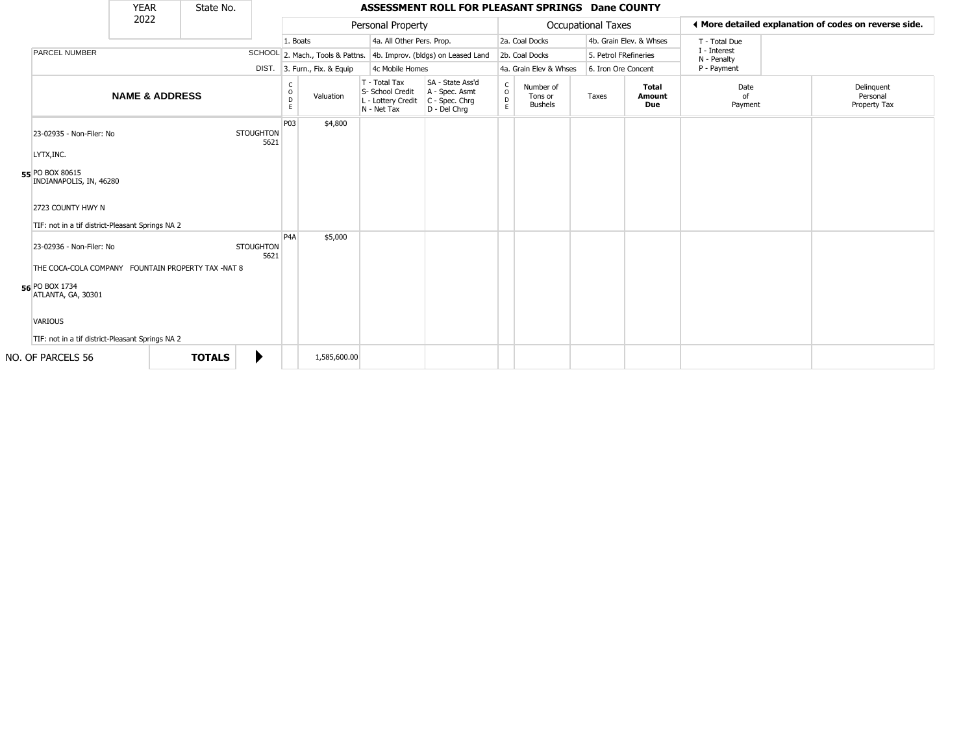|                                                    | <b>YEAR</b>               | State No.     |                          |                        |                              |                                                                        | ASSESSMENT ROLL FOR PLEASANT SPRINGS Dane COUNTY                     |                                                            |                                        |                    |                               |                             |                                                       |
|----------------------------------------------------|---------------------------|---------------|--------------------------|------------------------|------------------------------|------------------------------------------------------------------------|----------------------------------------------------------------------|------------------------------------------------------------|----------------------------------------|--------------------|-------------------------------|-----------------------------|-------------------------------------------------------|
|                                                    | 2022                      |               |                          |                        |                              | Personal Property                                                      |                                                                      |                                                            |                                        | Occupational Taxes |                               |                             | ◀ More detailed explanation of codes on reverse side. |
|                                                    |                           |               |                          | 1. Boats               |                              | 4a. All Other Pers. Prop.                                              |                                                                      |                                                            | 2a. Coal Docks                         |                    | 4b. Grain Elev. & Whses       | T - Total Due               |                                                       |
| PARCEL NUMBER                                      |                           |               |                          |                        |                              |                                                                        | SCHOOL 2. Mach., Tools & Pattns. 4b. Improv. (bldgs) on Leased Land  |                                                            | 2b. Coal Docks                         |                    | 5. Petrol FRefineries         | I - Interest<br>N - Penalty |                                                       |
|                                                    |                           |               |                          |                        | DIST. 3. Furn., Fix. & Equip | 4c Mobile Homes                                                        |                                                                      |                                                            | 4a. Grain Elev & Whses                 |                    | 6. Iron Ore Concent           | P - Payment                 |                                                       |
|                                                    | <b>NAME &amp; ADDRESS</b> |               |                          | C<br>$\circ$<br>D<br>E | Valuation                    | T - Total Tax<br>S- School Credit<br>L - Lottery Credit<br>N - Net Tax | SA - State Ass'd<br>A - Spec. Asmt<br>C - Spec. Chrg<br>D - Del Chrq | $\begin{smallmatrix} C\\ O\\ O\\ D \end{smallmatrix}$<br>E | Number of<br>Tons or<br><b>Bushels</b> | Taxes              | <b>Total</b><br>Amount<br>Due | Date<br>of<br>Payment       | Delinguent<br>Personal<br>Property Tax                |
| 23-02935 - Non-Filer: No                           |                           |               | <b>STOUGHTON</b><br>5621 | P03                    | \$4,800                      |                                                                        |                                                                      |                                                            |                                        |                    |                               |                             |                                                       |
| LYTX, INC.                                         |                           |               |                          |                        |                              |                                                                        |                                                                      |                                                            |                                        |                    |                               |                             |                                                       |
| 55 PO BOX 80615<br>INDIANAPOLIS, IN, 46280         |                           |               |                          |                        |                              |                                                                        |                                                                      |                                                            |                                        |                    |                               |                             |                                                       |
| 2723 COUNTY HWY N                                  |                           |               |                          |                        |                              |                                                                        |                                                                      |                                                            |                                        |                    |                               |                             |                                                       |
| TIF: not in a tif district-Pleasant Springs NA 2   |                           |               |                          |                        |                              |                                                                        |                                                                      |                                                            |                                        |                    |                               |                             |                                                       |
| 23-02936 - Non-Filer: No                           |                           |               | <b>STOUGHTON</b><br>5621 | P <sub>4</sub> A       | \$5,000                      |                                                                        |                                                                      |                                                            |                                        |                    |                               |                             |                                                       |
| THE COCA-COLA COMPANY FOUNTAIN PROPERTY TAX -NAT 8 |                           |               |                          |                        |                              |                                                                        |                                                                      |                                                            |                                        |                    |                               |                             |                                                       |
| 56 PO BOX 1734<br>ATLANTA, GA, 30301               |                           |               |                          |                        |                              |                                                                        |                                                                      |                                                            |                                        |                    |                               |                             |                                                       |
| <b>VARIOUS</b>                                     |                           |               |                          |                        |                              |                                                                        |                                                                      |                                                            |                                        |                    |                               |                             |                                                       |
| TIF: not in a tif district-Pleasant Springs NA 2   |                           |               |                          |                        |                              |                                                                        |                                                                      |                                                            |                                        |                    |                               |                             |                                                       |
| NO. OF PARCELS 56                                  |                           | <b>TOTALS</b> |                          |                        | 1,585,600.00                 |                                                                        |                                                                      |                                                            |                                        |                    |                               |                             |                                                       |